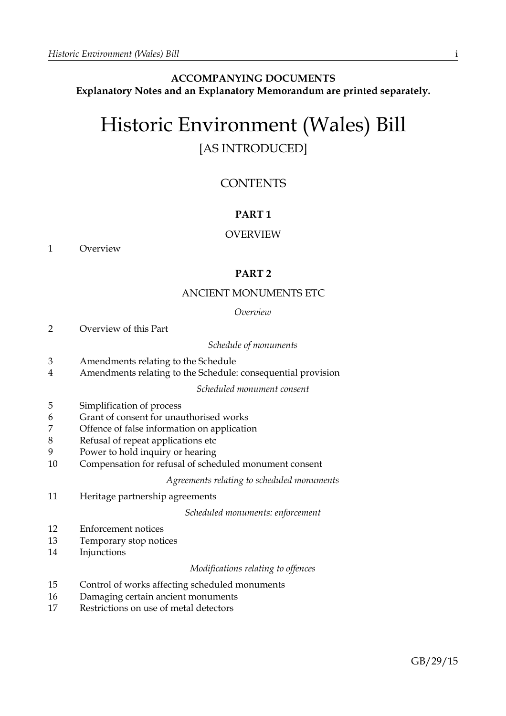# **ACCOMPANYING DOCUMENTS Explanatory Notes and an Explanatory Memorandum are printed separately.**

# Historic Environment (Wales) Bill [AS INTRODUCED]

# **CONTENTS**

# **PART 1**

# OVERVIEW

1 Overview

# **PART 2**

# ANCIENT MONUMENTS ETC

# *Overview*

2 Overview of this Part

# *Schedule of monuments*

- 3 Amendments relating to the Schedule
- 4 Amendments relating to the Schedule: consequential provision

# *Scheduled monument consent*

- 5 Simplification of process
- 6 Grant of consent for unauthorised works
- 7 Offence of false information on application
- 8 Refusal of repeat applications etc
- 9 Power to hold inquiry or hearing
- 10 Compensation for refusal of scheduled monument consent

*Agreements relating to scheduled monuments*

11 Heritage partnership agreements

*Scheduled monuments: enforcement*

- 12 Enforcement notices
- 13 Temporary stop notices
- 14 Injunctions

# *Modifications relating to offences*

- 15 Control of works affecting scheduled monuments
- 16 Damaging certain ancient monuments
- 17 Restrictions on use of metal detectors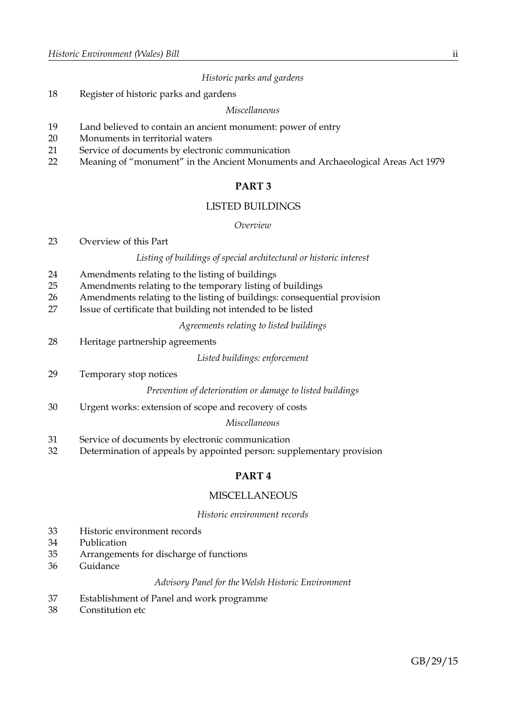# *Historic parks and gardens*

18 Register of historic parks and gardens

#### *Miscellaneous*

- 19 Land believed to contain an ancient monument: power of entry
- 20 Monuments in territorial waters
- 21 Service of documents by electronic communication
- 22 Meaning of "monument" in the Ancient Monuments and Archaeological Areas Act 1979

# **PART 3**

# LISTED BUILDINGS

# *Overview*

23 Overview of this Part

#### *Listing of buildings of special architectural or historic interest*

- 24 Amendments relating to the listing of buildings
- 25 Amendments relating to the temporary listing of buildings
- 26 Amendments relating to the listing of buildings: consequential provision
- 27 Issue of certificate that building not intended to be listed

*Agreements relating to listed buildings*

28 Heritage partnership agreements

*Listed buildings: enforcement*

29 Temporary stop notices

*Prevention of deterioration or damage to listed buildings*

30 Urgent works: extension of scope and recovery of costs

# *Miscellaneous*

- 31 Service of documents by electronic communication
- 32 Determination of appeals by appointed person: supplementary provision

# **PART 4**

# **MISCELLANEOUS**

#### *Historic environment records*

- 33 Historic environment records
- 34 Publication
- 35 Arrangements for discharge of functions
- 36 Guidance

# *Advisory Panel for the Welsh Historic Environment*

- 37 Establishment of Panel and work programme
- 38 Constitution etc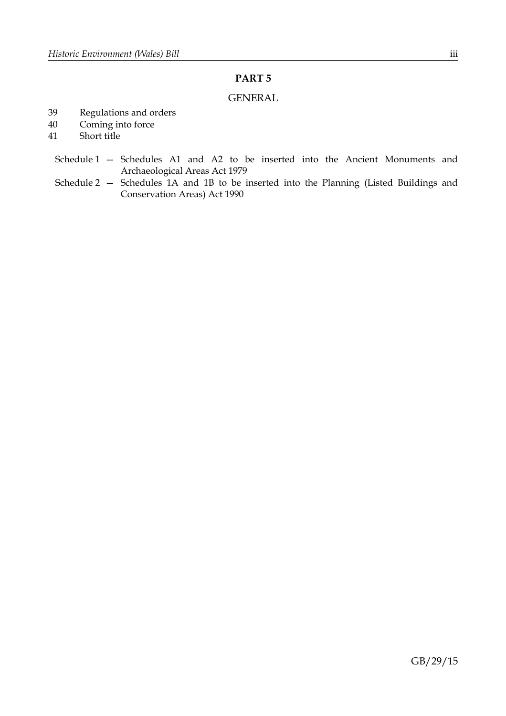# **PART 5**

# GENERAL

- 39 Regulations and orders
- 40 Coming into force
- 41 Short title
	- Schedule 1 Schedules A1 and A2 to be inserted into the Ancient Monuments and Archaeological Areas Act 1979
	- Schedule 2 Schedules 1A and 1B to be inserted into the Planning (Listed Buildings and Conservation Areas) Act 1990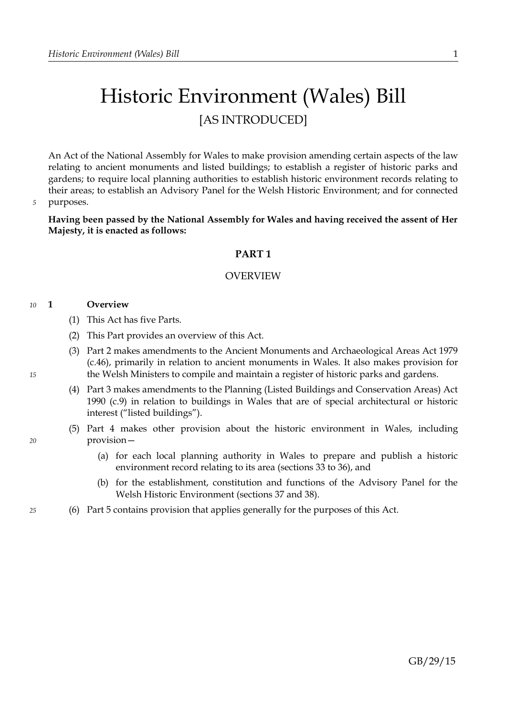# Historic Environment (Wales) Bill [AS INTRODUCED]

An Act of the National Assembly for Wales to make provision amending certain aspects of the law relating to ancient monuments and listed buildings; to establish a register of historic parks and gardens; to require local planning authorities to establish historic environment records relating to their areas; to establish an Advisory Panel for the Welsh Historic Environment; and for connected purposes.

*5*

**Having been passed by the National Assembly for Wales and having received the assent of Her Majesty, it is enacted as follows:**

# <span id="page-4-0"></span>**PART 1**

# OVERVIEW

#### **1 Overview** *10*

- (1) This Act has five Parts.
- (2) This Part provides an overview of this Act.
- (3) Part [2](#page-5-0) makes amendments to the Ancient Monuments and Archaeological Areas Act 1979 (c.46), primarily in relation to ancient monuments in Wales. It also makes provision for the Welsh Ministers to compile and maintain a register of historic parks and gardens.
- (4) Part [3](#page-28-0) makes amendments to the Planning (Listed Buildings and Conservation Areas) Act 1990 (c.9) in relation to buildings in Wales that are of special architectural or historic interest ("listed buildings").
- (5) Part [4](#page-45-1) makes other provision about the historic environment in Wales, including provision—
	- (a) for each local planning authority in Wales to prepare and publish a historic environment record relating to its area (sections [33](#page-45-0) to [36\)](#page-48-1), and
	- (b) for the establishment, constitution and functions of the Advisory Panel for the Welsh Historic Environment (sections [37](#page-48-0) and [38\)](#page-49-0).
- (6) Part [5](#page-50-0) contains provision that applies generally for the purposes of this Act.

*15*

*20*

*25*

# GB/29/15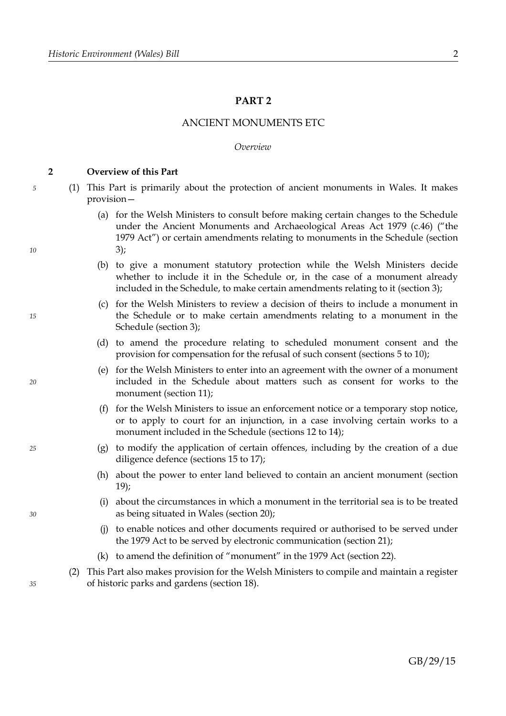# <span id="page-5-0"></span>**PART 2**

# ANCIENT MONUMENTS ETC

### *Overview*

#### <span id="page-5-1"></span>**2 Overview of this Part**

*5*

*10*

*15*

*20*

*25*

*30*

- (1) This Part is primarily about the protection of ancient monuments in Wales. It makes provision—
	- (a) for the Welsh Ministers to consult before making certain changes to the Schedule under the Ancient Monuments and Archaeological Areas Act 1979 (c.46) ("the 1979 Act") or certain amendments relating to monuments in the Schedule (section [3\)](#page-6-0);
	- (b) to give a monument statutory protection while the Welsh Ministers decide whether to include it in the Schedule or, in the case of a monument already included in the Schedule, to make certain amendments relating to it (section [3\)](#page-6-0);
	- (c) for the Welsh Ministers to review a decision of theirs to include a monument in the Schedule or to make certain amendments relating to a monument in the Schedule (section [3\)](#page-6-0);
	- (d) to amend the procedure relating to scheduled monument consent and the provision for compensation for the refusal of such consent (sections [5](#page-11-0) to [10\)](#page-12-0);
	- (e) for the Welsh Ministers to enter into an agreement with the owner of a monument included in the Schedule about matters such as consent for works to the monument (section [11\)](#page-13-0);
	- (f) for the Welsh Ministers to issue an enforcement notice or a temporary stop notice, or to apply to court for an injunction, in a case involving certain works to a monument included in the Schedule (sections [12](#page-16-0) to [14\)](#page-23-1);
	- (g) to modify the application of certain offences, including by the creation of a due diligence defence (sections [15](#page-23-0) to [17\)](#page-24-0);
	- (h) about the power to enter land believed to contain an ancient monument (section [19\)](#page-26-2);
	- (i) about the circumstances in which a monument in the territorial sea is to be treated as being situated in Wales (section [20\)](#page-26-1);
	- (j) to enable notices and other documents required or authorised to be served under the 1979 Act to be served by electronic communication (section [21\)](#page-26-0);
	- (k) to amend the definition of "monument" in the 1979 Act (section [22\)](#page-27-0).
	- (2) This Part also makes provision for the Welsh Ministers to compile and maintain a register of historic parks and gardens (section [18\)](#page-25-0).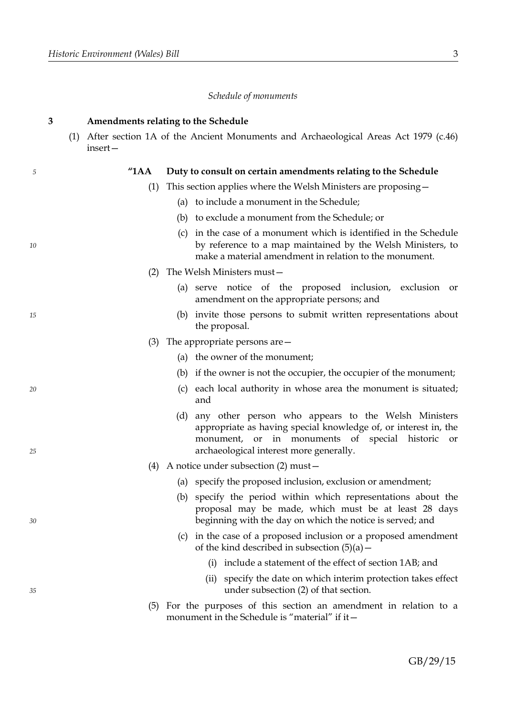*10*

*15*

*20*

*25*

*30*

*35*

#### *Schedule of monuments*

#### <span id="page-6-0"></span>**3 Amendments relating to the Schedule**

(1) After section 1A of the Ancient Monuments and Archaeological Areas Act 1979 (c.46) insert—

# **"1AA Duty to consult on certain amendments relating to the Schedule**

- (1) This section applies where the Welsh Ministers are proposing—
	- (a) to include a monument in the Schedule;
	- (b) to exclude a monument from the Schedule; or
	- (c) in the case of a monument which is identified in the Schedule by reference to a map maintained by the Welsh Ministers, to make a material amendment in relation to the monument.
- (2) The Welsh Ministers must—
	- (a) serve notice of the proposed inclusion, exclusion or amendment on the appropriate persons; and
	- (b) invite those persons to submit written representations about the proposal.
- (3) The appropriate persons are—
	- (a) the owner of the monument;
	- (b) if the owner is not the occupier, the occupier of the monument;
	- (c) each local authority in whose area the monument is situated; and
	- (d) any other person who appears to the Welsh Ministers appropriate as having special knowledge of, or interest in, the monument, or in monuments of special historic or archaeological interest more generally.
- (4) A notice under subsection (2) must—
	- (a) specify the proposed inclusion, exclusion or amendment;
	- (b) specify the period within which representations about the proposal may be made, which must be at least 28 days beginning with the day on which the notice is served; and
	- (c) in the case of a proposed inclusion or a proposed amendment of the kind described in subsection  $(5)(a)$  –
		- (i) include a statement of the effect of section 1AB; and
		- (ii) specify the date on which interim protection takes effect under subsection (2) of that section.
- (5) For the purposes of this section an amendment in relation to a monument in the Schedule is "material" if it-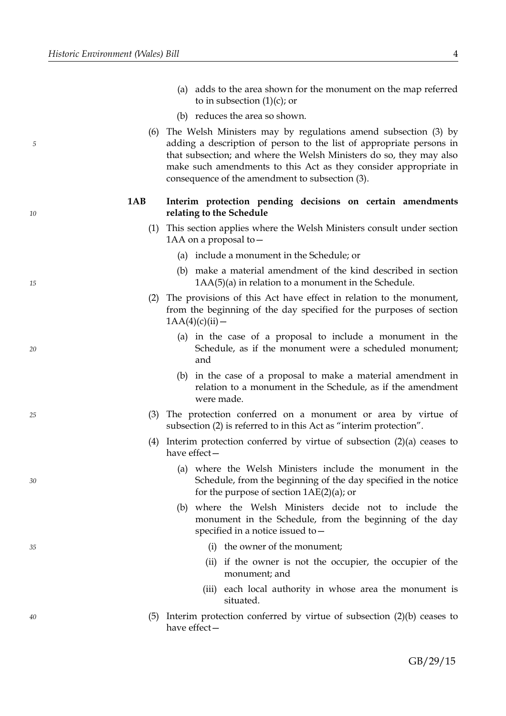*10*

*15*

*20*

*25*

*30*

*35*

*40*

- (a) adds to the area shown for the monument on the map referred to in subsection  $(1)(c)$ ; or
- (b) reduces the area so shown.
- (6) The Welsh Ministers may by regulations amend subsection (3) by adding a description of person to the list of appropriate persons in that subsection; and where the Welsh Ministers do so, they may also make such amendments to this Act as they consider appropriate in consequence of the amendment to subsection (3).

# **1AB Interim protection pending decisions on certain amendments relating to the Schedule**

- (1) This section applies where the Welsh Ministers consult under section 1AA on a proposal to—
	- (a) include a monument in the Schedule; or
	- (b) make a material amendment of the kind described in section 1AA(5)(a) in relation to a monument in the Schedule.
- (2) The provisions of this Act have effect in relation to the monument, from the beginning of the day specified for the purposes of section  $1AA(4)(c)(ii)$  —
	- (a) in the case of a proposal to include a monument in the Schedule, as if the monument were a scheduled monument; and
	- (b) in the case of a proposal to make a material amendment in relation to a monument in the Schedule, as if the amendment were made.
- (3) The protection conferred on a monument or area by virtue of subsection (2) is referred to in this Act as "interim protection".
- (4) Interim protection conferred by virtue of subsection (2)(a) ceases to have effect—
	- (a) where the Welsh Ministers include the monument in the Schedule, from the beginning of the day specified in the notice for the purpose of section 1AE(2)(a); or
	- (b) where the Welsh Ministers decide not to include the monument in the Schedule, from the beginning of the day specified in a notice issued to—
		- (i) the owner of the monument;
		- (ii) if the owner is not the occupier, the occupier of the monument; and
		- (iii) each local authority in whose area the monument is situated.
- (5) Interim protection conferred by virtue of subsection (2)(b) ceases to have effect—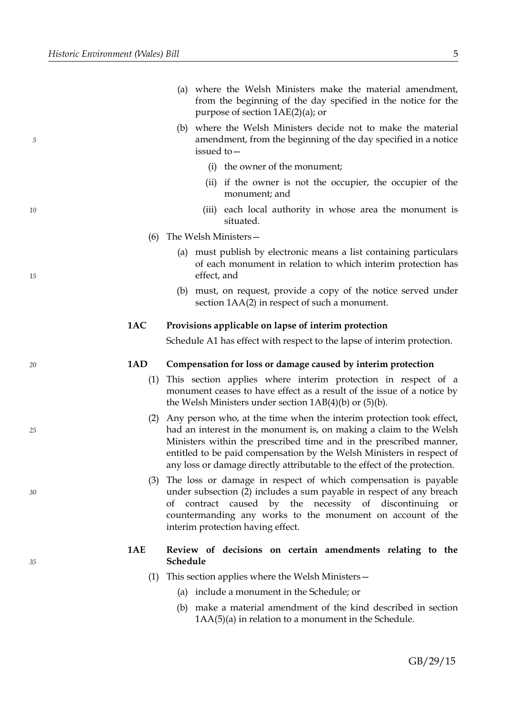*10*

*15*

*20*

*25*

*30*

*35*

- (b) where the Welsh Ministers decide not to make the material amendment, from the beginning of the day specified in a notice issued to—
	- (i) the owner of the monument;
	- (ii) if the owner is not the occupier, the occupier of the monument; and
	- (iii) each local authority in whose area the monument is situated.
- (6) The Welsh Ministers—
	- (a) must publish by electronic means a list containing particulars of each monument in relation to which interim protection has effect, and
	- (b) must, on request, provide a copy of the notice served under section 1AA(2) in respect of such a monument.

# **1AC Provisions applicable on lapse of interim protection**

Schedule A1 has effect with respect to the lapse of interim protection.

# **1AD Compensation for loss or damage caused by interim protection**

- (1) This section applies where interim protection in respect of a monument ceases to have effect as a result of the issue of a notice by the Welsh Ministers under section 1AB(4)(b) or (5)(b).
- (2) Any person who, at the time when the interim protection took effect, had an interest in the monument is, on making a claim to the Welsh Ministers within the prescribed time and in the prescribed manner, entitled to be paid compensation by the Welsh Ministers in respect of any loss or damage directly attributable to the effect of the protection.
- (3) The loss or damage in respect of which compensation is payable under subsection (2) includes a sum payable in respect of any breach of contract caused by the necessity of discontinuing or countermanding any works to the monument on account of the interim protection having effect.

# **1AE Review of decisions on certain amendments relating to the Schedule**

- (1) This section applies where the Welsh Ministers—
	- (a) include a monument in the Schedule; or
	- (b) make a material amendment of the kind described in section 1AA(5)(a) in relation to a monument in the Schedule.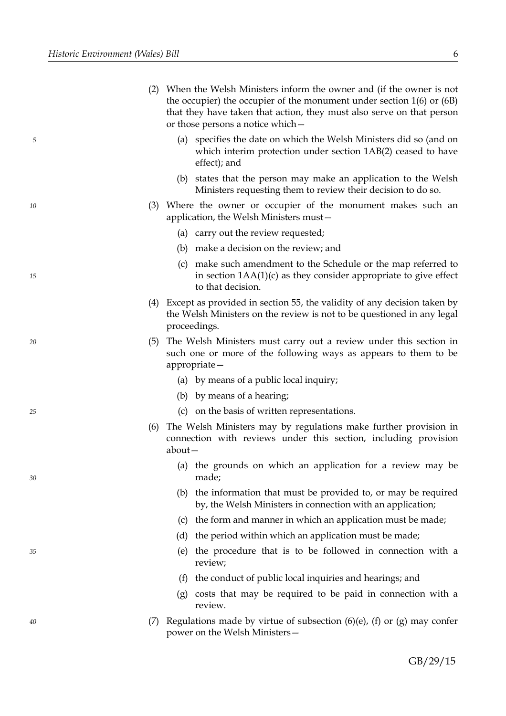*10*

*15*

*20*

*25*

*30*

*35*

| (2) When the Welsh Ministers inform the owner and (if the owner is not    |
|---------------------------------------------------------------------------|
| the occupier) the occupier of the monument under section $1(6)$ or $(6B)$ |
| that they have taken that action, they must also serve on that person     |
| or those persons a notice which –                                         |

- (a) specifies the date on which the Welsh Ministers did so (and on which interim protection under section 1AB(2) ceased to have effect); and
- (b) states that the person may make an application to the Welsh Ministers requesting them to review their decision to do so.
- (3) Where the owner or occupier of the monument makes such an application, the Welsh Ministers must—
	- (a) carry out the review requested;
	- (b) make a decision on the review; and
	- (c) make such amendment to the Schedule or the map referred to in section 1AA(1)(c) as they consider appropriate to give effect to that decision.
- (4) Except as provided in section 55, the validity of any decision taken by the Welsh Ministers on the review is not to be questioned in any legal proceedings.
- (5) The Welsh Ministers must carry out a review under this section in such one or more of the following ways as appears to them to be appropriate—
	- (a) by means of a public local inquiry;
	- (b) by means of a hearing;
	- (c) on the basis of written representations.
- (6) The Welsh Ministers may by regulations make further provision in connection with reviews under this section, including provision about—
	- (a) the grounds on which an application for a review may be made;
	- (b) the information that must be provided to, or may be required by, the Welsh Ministers in connection with an application;
	- (c) the form and manner in which an application must be made;
	- (d) the period within which an application must be made;
	- (e) the procedure that is to be followed in connection with a review;
	- (f) the conduct of public local inquiries and hearings; and
	- (g) costs that may be required to be paid in connection with a review.
- (7) Regulations made by virtue of subsection  $(6)(e)$ ,  $(f)$  or  $(g)$  may confer power on the Welsh Ministers—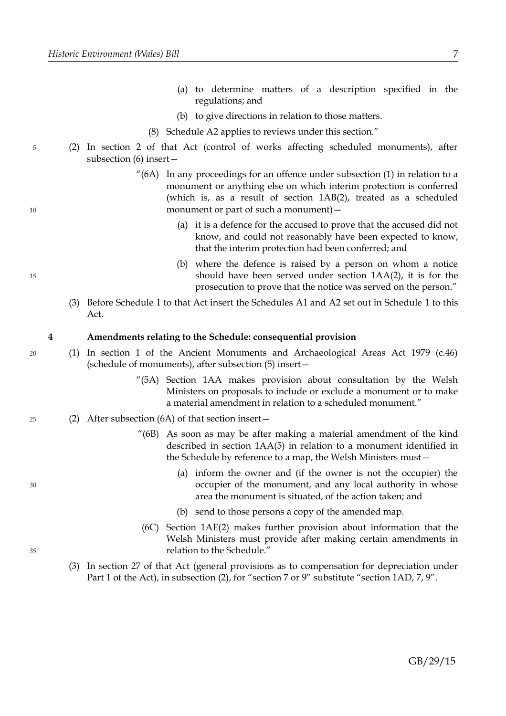- (a) to determine matters of a description specified in the regulations; and
- (b) to give directions in relation to those matters.
- (8) Schedule A2 applies to reviews under this section."
- (2) In section 2 of that Act (control of works affecting scheduled monuments), after subsection (6) insert—
	- "(6A) In any proceedings for an offence under subsection (1) in relation to a monument or anything else on which interim protection is conferred (which is, as a result of section 1AB(2), treated as a scheduled monument or part of such a monument) -
		- (a) it is a defence for the accused to prove that the accused did not know, and could not reasonably have been expected to know, that the interim protection had been conferred; and
		- (b) where the defence is raised by a person on whom a notice should have been served under section 1AA(2), it is for the prosecution to prove that the notice was served on the person."
	- (3) Before Schedule 1 to that Act insert the Schedules A1 and A2 set out in Schedule [1](#page-53-0) to this Act.

### <span id="page-10-0"></span>**4 Amendments relating to the Schedule: consequential provision**

- (1) In section 1 of the Ancient Monuments and Archaeological Areas Act 1979 (c.46) (schedule of monuments), after subsection (5) insert—
	- "(5A) Section 1AA makes provision about consultation by the Welsh Ministers on proposals to include or exclude a monument or to make a material amendment in relation to a scheduled monument."
- (2) After subsection (6A) of that section insert— *25*
	- "(6B) As soon as may be after making a material amendment of the kind described in section 1AA(5) in relation to a monument identified in the Schedule by reference to a map, the Welsh Ministers must—
		- (a) inform the owner and (if the owner is not the occupier) the occupier of the monument, and any local authority in whose area the monument is situated, of the action taken; and
		- (b) send to those persons a copy of the amended map.
	- (6C) Section 1AE(2) makes further provision about information that the Welsh Ministers must provide after making certain amendments in relation to the Schedule."
	- (3) In section 27 of that Act (general provisions as to compensation for depreciation under Part 1 of the Act), in subsection (2), for "section 7 or 9" substitute "section 1AD, 7, 9".

*15*

*5*

*10*

*30*

*35*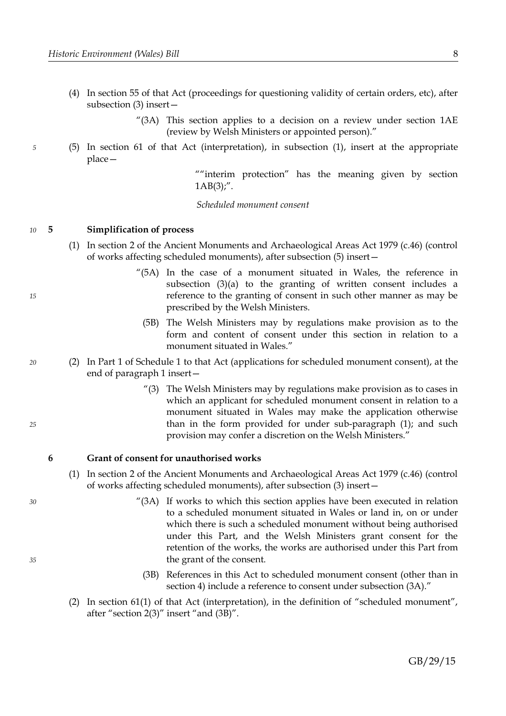- (4) In section 55 of that Act (proceedings for questioning validity of certain orders, etc), after subsection (3) insert—
	- "(3A) This section applies to a decision on a review under section 1AE (review by Welsh Ministers or appointed person)."
- (5) In section 61 of that Act (interpretation), in subsection (1), insert at the appropriate place—

""interim protection" has the meaning given by section  $1AB(3)$ ;".

*Scheduled monument consent*

#### <span id="page-11-0"></span>**5 Simplification of process** *10*

- (1) In section 2 of the Ancient Monuments and Archaeological Areas Act 1979 (c.46) (control of works affecting scheduled monuments), after subsection (5) insert—
	- "(5A) In the case of a monument situated in Wales, the reference in subsection (3)(a) to the granting of written consent includes a reference to the granting of consent in such other manner as may be prescribed by the Welsh Ministers.
		- (5B) The Welsh Ministers may by regulations make provision as to the form and content of consent under this section in relation to a monument situated in Wales."
- (2) In Part 1 of Schedule 1 to that Act (applications for scheduled monument consent), at the end of paragraph 1 insert—
	- "(3) The Welsh Ministers may by regulations make provision as to cases in which an applicant for scheduled monument consent in relation to a monument situated in Wales may make the application otherwise than in the form provided for under sub-paragraph (1); and such provision may confer a discretion on the Welsh Ministers."

#### <span id="page-11-1"></span>**6 Grant of consent for unauthorised works**

- (1) In section 2 of the Ancient Monuments and Archaeological Areas Act 1979 (c.46) (control of works affecting scheduled monuments), after subsection (3) insert—
	- "(3A) If works to which this section applies have been executed in relation to a scheduled monument situated in Wales or land in, on or under which there is such a scheduled monument without being authorised under this Part, and the Welsh Ministers grant consent for the retention of the works, the works are authorised under this Part from the grant of the consent.
	- (3B) References in this Act to scheduled monument consent (other than in section 4) include a reference to consent under subsection (3A)."
- (2) In section 61(1) of that Act (interpretation), in the definition of "scheduled monument", after "section 2(3)" insert "and (3B)".

*25*

*15*

*20*

*5*

*30*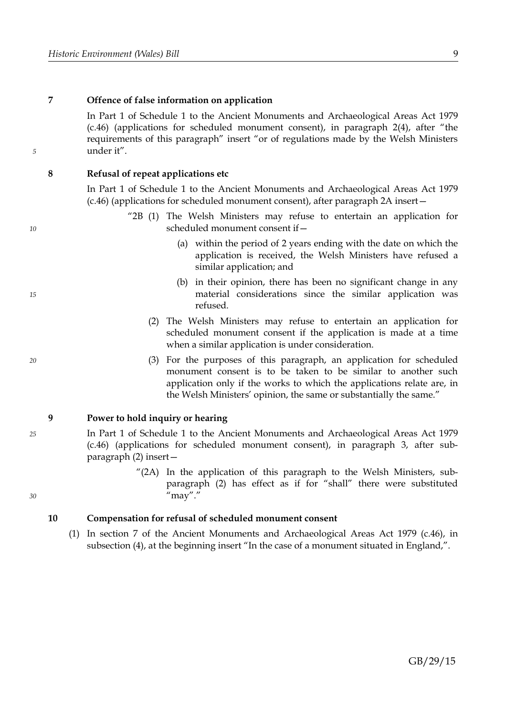*10*

*15*

*20*

*25*

*30*

# **7 Offence of false information on application**

In Part 1 of Schedule 1 to the Ancient Monuments and Archaeological Areas Act 1979 (c.46) (applications for scheduled monument consent), in paragraph 2(4), after "the requirements of this paragraph" insert "or of regulations made by the Welsh Ministers under it".

# **8 Refusal of repeat applications etc**

In Part 1 of Schedule 1 to the Ancient Monuments and Archaeological Areas Act 1979 (c.46) (applications for scheduled monument consent), after paragraph 2A insert—

- "2B (1) The Welsh Ministers may refuse to entertain an application for scheduled monument consent if—
	- (a) within the period of 2 years ending with the date on which the application is received, the Welsh Ministers have refused a similar application; and
	- (b) in their opinion, there has been no significant change in any material considerations since the similar application was refused.
	- (2) The Welsh Ministers may refuse to entertain an application for scheduled monument consent if the application is made at a time when a similar application is under consideration.
	- (3) For the purposes of this paragraph, an application for scheduled monument consent is to be taken to be similar to another such application only if the works to which the applications relate are, in the Welsh Ministers' opinion, the same or substantially the same."

# <span id="page-12-1"></span>**9 Power to hold inquiry or hearing**

- In Part 1 of Schedule 1 to the Ancient Monuments and Archaeological Areas Act 1979 (c.46) (applications for scheduled monument consent), in paragraph 3, after subparagraph (2) insert—
	- "(2A) In the application of this paragraph to the Welsh Ministers, subparagraph (2) has effect as if for "shall" there were substituted  $\mu$ "may".

# <span id="page-12-0"></span>**10 Compensation for refusal of scheduled monument consent**

(1) In section 7 of the Ancient Monuments and Archaeological Areas Act 1979 (c.46), in subsection (4), at the beginning insert "In the case of a monument situated in England,".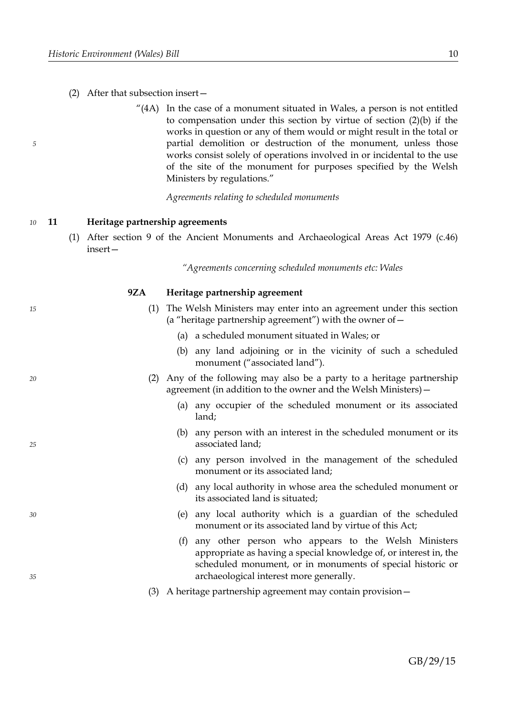*15*

*20*

*25*

*30*

*35*

# (2) After that subsection insert—

"(4A) In the case of a monument situated in Wales, a person is not entitled to compensation under this section by virtue of section (2)(b) if the works in question or any of them would or might result in the total or partial demolition or destruction of the monument, unless those works consist solely of operations involved in or incidental to the use of the site of the monument for purposes specified by the Welsh Ministers by regulations."

*Agreements relating to scheduled monuments*

#### <span id="page-13-0"></span>**11 Heritage partnership agreements** *10*

(1) After section 9 of the Ancient Monuments and Archaeological Areas Act 1979 (c.46) insert—

*"Agreements concerning scheduled monuments etc: Wales*

# **9ZA Heritage partnership agreement**

| (1) The Welsh Ministers may enter into an agreement under this section |
|------------------------------------------------------------------------|
| (a "heritage partnership agreement") with the owner of $-$             |

- (a) a scheduled monument situated in Wales; or
- (b) any land adjoining or in the vicinity of such a scheduled monument ("associated land").
- (2) Any of the following may also be a party to a heritage partnership agreement (in addition to the owner and the Welsh Ministers)—
	- (a) any occupier of the scheduled monument or its associated land;
	- (b) any person with an interest in the scheduled monument or its associated land;
	- (c) any person involved in the management of the scheduled monument or its associated land;
	- (d) any local authority in whose area the scheduled monument or its associated land is situated;
	- (e) any local authority which is a guardian of the scheduled monument or its associated land by virtue of this Act;
	- (f) any other person who appears to the Welsh Ministers appropriate as having a special knowledge of, or interest in, the scheduled monument, or in monuments of special historic or archaeological interest more generally.
- (3) A heritage partnership agreement may contain provision—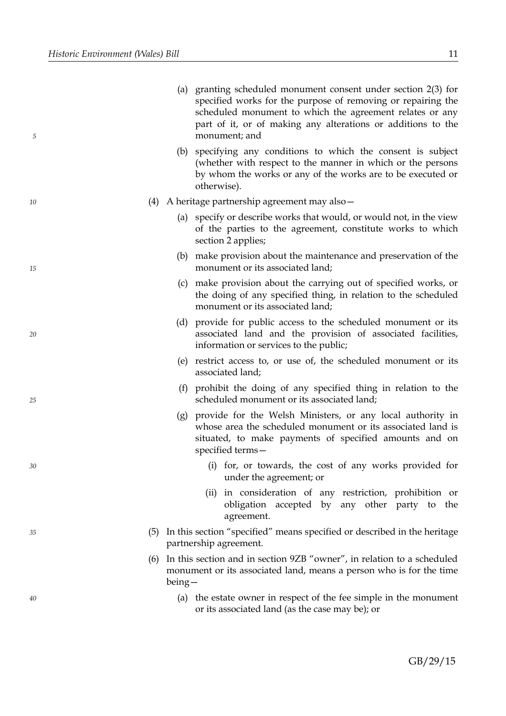| 5  |          | (a) granting scheduled monument consent under section 2(3) for<br>specified works for the purpose of removing or repairing the<br>scheduled monument to which the agreement relates or any<br>part of it, or of making any alterations or additions to the<br>monument; and |
|----|----------|-----------------------------------------------------------------------------------------------------------------------------------------------------------------------------------------------------------------------------------------------------------------------------|
|    | (b)      | specifying any conditions to which the consent is subject<br>(whether with respect to the manner in which or the persons<br>by whom the works or any of the works are to be executed or<br>otherwise).                                                                      |
| 10 |          | (4) A heritage partnership agreement may also $-$                                                                                                                                                                                                                           |
|    |          | (a) specify or describe works that would, or would not, in the view<br>of the parties to the agreement, constitute works to which<br>section 2 applies;                                                                                                                     |
| 15 |          | (b) make provision about the maintenance and preservation of the<br>monument or its associated land;                                                                                                                                                                        |
|    | (c)      | make provision about the carrying out of specified works, or<br>the doing of any specified thing, in relation to the scheduled<br>monument or its associated land;                                                                                                          |
| 20 |          | (d) provide for public access to the scheduled monument or its<br>associated land and the provision of associated facilities,<br>information or services to the public;                                                                                                     |
|    |          | (e) restrict access to, or use of, the scheduled monument or its<br>associated land;                                                                                                                                                                                        |
| 25 |          | (f) prohibit the doing of any specified thing in relation to the<br>scheduled monument or its associated land;                                                                                                                                                              |
|    |          | (g) provide for the Welsh Ministers, or any local authority in<br>whose area the scheduled monument or its associated land is<br>situated, to make payments of specified amounts and on<br>specified terms-                                                                 |
| 30 |          | (i) for, or towards, the cost of any works provided for<br>under the agreement; or                                                                                                                                                                                          |
|    |          | (ii) in consideration of any restriction, prohibition or<br>obligation accepted by any other party to the<br>agreement.                                                                                                                                                     |
| 35 |          | (5) In this section "specified" means specified or described in the heritage<br>partnership agreement.                                                                                                                                                                      |
|    | $being-$ | (6) In this section and in section $9ZB$ "owner", in relation to a scheduled<br>monument or its associated land, means a person who is for the time                                                                                                                         |
| 40 |          | (a) the estate owner in respect of the fee simple in the monument<br>or its associated land (as the case may be); or                                                                                                                                                        |
|    |          |                                                                                                                                                                                                                                                                             |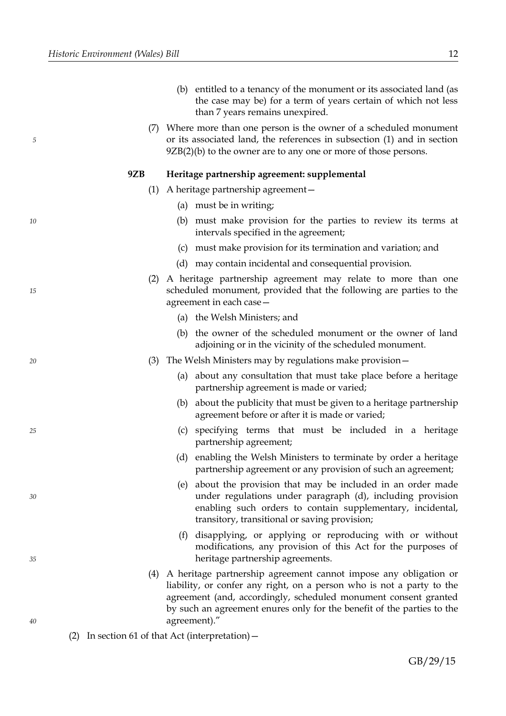- (b) entitled to a tenancy of the monument or its associated land (as the case may be) for a term of years certain of which not less than 7 years remains unexpired.
- (7) Where more than one person is the owner of a scheduled monument or its associated land, the references in subsection (1) and in section  $9ZB(2)(b)$  to the owner are to any one or more of those persons.

#### **9ZB Heritage partnership agreement: supplemental**

- (1) A heritage partnership agreement—
	- (a) must be in writing;
	- (b) must make provision for the parties to review its terms at intervals specified in the agreement;
	- (c) must make provision for its termination and variation; and
	- (d) may contain incidental and consequential provision.
- (2) A heritage partnership agreement may relate to more than one scheduled monument, provided that the following are parties to the agreement in each case—
	- (a) the Welsh Ministers; and
	- (b) the owner of the scheduled monument or the owner of land adjoining or in the vicinity of the scheduled monument.
- (3) The Welsh Ministers may by regulations make provision—
	- (a) about any consultation that must take place before a heritage partnership agreement is made or varied;
	- (b) about the publicity that must be given to a heritage partnership agreement before or after it is made or varied;
	- (c) specifying terms that must be included in a heritage partnership agreement;
	- (d) enabling the Welsh Ministers to terminate by order a heritage partnership agreement or any provision of such an agreement;
	- (e) about the provision that may be included in an order made under regulations under paragraph (d), including provision enabling such orders to contain supplementary, incidental, transitory, transitional or saving provision;
	- (f) disapplying, or applying or reproducing with or without modifications, any provision of this Act for the purposes of heritage partnership agreements.
- (4) A heritage partnership agreement cannot impose any obligation or liability, or confer any right, on a person who is not a party to the agreement (and, accordingly, scheduled monument consent granted by such an agreement enures only for the benefit of the parties to the agreement)."
- (2) In section 61 of that Act (interpretation)—

GB/29/15

*40*

*5*

*10*

*15*

*20*

*25*

*30*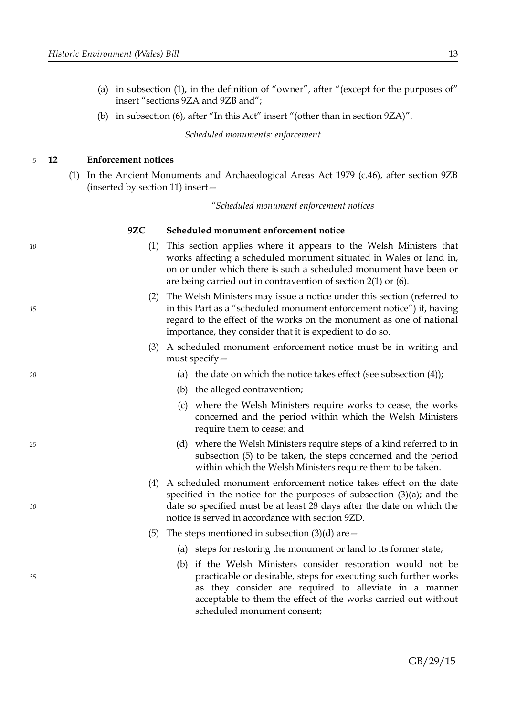- (a) in subsection (1), in the definition of "owner", after "(except for the purposes of" insert "sections 9ZA and 9ZB and";
- (b) in subsection (6), after "In this Act" insert "(other than in section 9ZA)".

*Scheduled monuments: enforcement*

#### <span id="page-16-0"></span>**12 Enforcement notices** *5*

*10*

*15*

*20*

*25*

*30*

*35*

(1) In the Ancient Monuments and Archaeological Areas Act 1979 (c.46), after section 9ZB (inserted by section [11\)](#page-13-0) insert—

*"Scheduled monument enforcement notices*

# **9ZC Scheduled monument enforcement notice**

- (1) This section applies where it appears to the Welsh Ministers that works affecting a scheduled monument situated in Wales or land in, on or under which there is such a scheduled monument have been or are being carried out in contravention of section 2(1) or (6).
- (2) The Welsh Ministers may issue a notice under this section (referred to in this Part as a "scheduled monument enforcement notice") if, having regard to the effect of the works on the monument as one of national importance, they consider that it is expedient to do so.
- (3) A scheduled monument enforcement notice must be in writing and must specify—
	- (a) the date on which the notice takes effect (see subsection (4));
	- (b) the alleged contravention;
	- (c) where the Welsh Ministers require works to cease, the works concerned and the period within which the Welsh Ministers require them to cease; and
	- (d) where the Welsh Ministers require steps of a kind referred to in subsection (5) to be taken, the steps concerned and the period within which the Welsh Ministers require them to be taken.
- (4) A scheduled monument enforcement notice takes effect on the date specified in the notice for the purposes of subsection (3)(a); and the date so specified must be at least 28 days after the date on which the notice is served in accordance with section 9ZD.
- (5) The steps mentioned in subsection  $(3)(d)$  are  $-$ 
	- (a) steps for restoring the monument or land to its former state;
	- (b) if the Welsh Ministers consider restoration would not be practicable or desirable, steps for executing such further works as they consider are required to alleviate in a manner acceptable to them the effect of the works carried out without scheduled monument consent;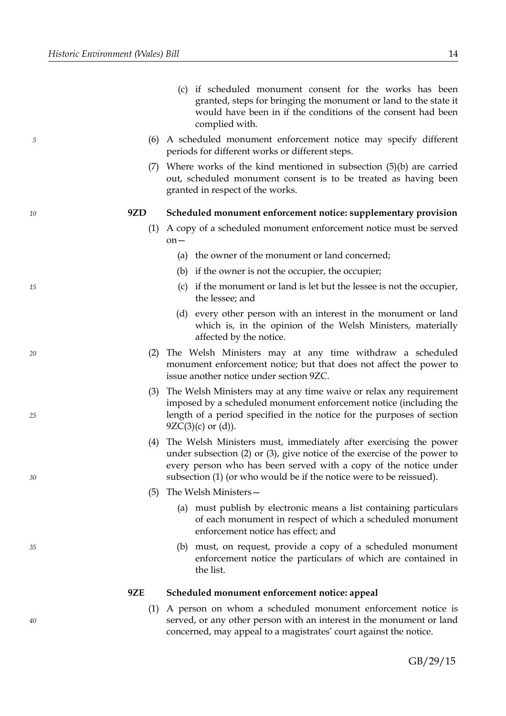*10*

*15*

*20*

*25*

*30*

*35*

*40*

- (c) if scheduled monument consent for the works has been granted, steps for bringing the monument or land to the state it would have been in if the conditions of the consent had been complied with.
- (6) A scheduled monument enforcement notice may specify different periods for different works or different steps.
- (7) Where works of the kind mentioned in subsection (5)(b) are carried out, scheduled monument consent is to be treated as having been granted in respect of the works.

#### **9ZD Scheduled monument enforcement notice: supplementary provision**

- (1) A copy of a scheduled monument enforcement notice must be served on—
	- (a) the owner of the monument or land concerned;
	- (b) if the owner is not the occupier, the occupier;
	- (c) if the monument or land is let but the lessee is not the occupier, the lessee; and
	- (d) every other person with an interest in the monument or land which is, in the opinion of the Welsh Ministers, materially affected by the notice.
- (2) The Welsh Ministers may at any time withdraw a scheduled monument enforcement notice; but that does not affect the power to issue another notice under section 9ZC.
- (3) The Welsh Ministers may at any time waive or relax any requirement imposed by a scheduled monument enforcement notice (including the length of a period specified in the notice for the purposes of section  $9ZC(3)(c)$  or  $(d)$ ).
- (4) The Welsh Ministers must, immediately after exercising the power under subsection (2) or (3), give notice of the exercise of the power to every person who has been served with a copy of the notice under subsection (1) (or who would be if the notice were to be reissued).
- (5) The Welsh Ministers—
	- (a) must publish by electronic means a list containing particulars of each monument in respect of which a scheduled monument enforcement notice has effect; and
	- (b) must, on request, provide a copy of a scheduled monument enforcement notice the particulars of which are contained in the list.

# **9ZE Scheduled monument enforcement notice: appeal**

(1) A person on whom a scheduled monument enforcement notice is served, or any other person with an interest in the monument or land concerned, may appeal to a magistrates' court against the notice.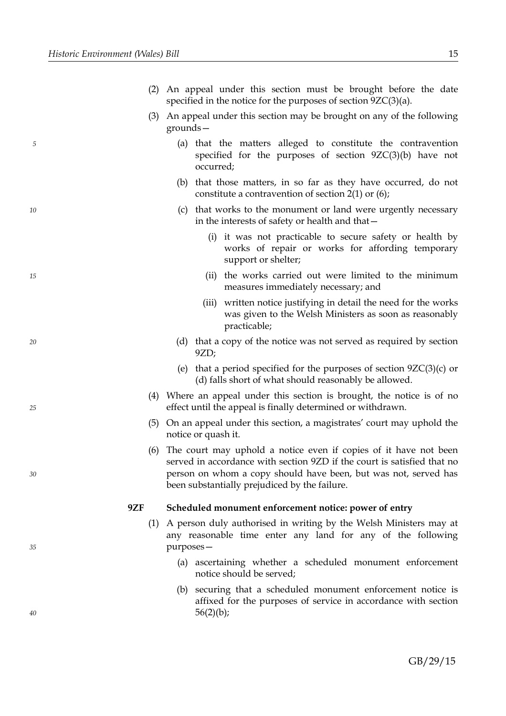- (3) An appeal under this section may be brought on any of the following grounds—
	- (a) that the matters alleged to constitute the contravention specified for the purposes of section 9ZC(3)(b) have not occurred;
	- (b) that those matters, in so far as they have occurred, do not constitute a contravention of section 2(1) or (6);
	- (c) that works to the monument or land were urgently necessary in the interests of safety or health and that—
		- (i) it was not practicable to secure safety or health by works of repair or works for affording temporary support or shelter;
		- (ii) the works carried out were limited to the minimum measures immediately necessary; and
		- (iii) written notice justifying in detail the need for the works was given to the Welsh Ministers as soon as reasonably practicable;
	- (d) that a copy of the notice was not served as required by section 9ZD;
	- (e) that a period specified for the purposes of section  $9ZC(3)(c)$  or (d) falls short of what should reasonably be allowed.
- (4) Where an appeal under this section is brought, the notice is of no effect until the appeal is finally determined or withdrawn.
- (5) On an appeal under this section, a magistrates' court may uphold the notice or quash it.
- (6) The court may uphold a notice even if copies of it have not been served in accordance with section 9ZD if the court is satisfied that no person on whom a copy should have been, but was not, served has been substantially prejudiced by the failure.

# **9ZF Scheduled monument enforcement notice: power of entry**

- (1) A person duly authorised in writing by the Welsh Ministers may at any reasonable time enter any land for any of the following purposes—
	- (a) ascertaining whether a scheduled monument enforcement notice should be served;
	- (b) securing that a scheduled monument enforcement notice is affixed for the purposes of service in accordance with section  $56(2)(b)$ ;

*40*

*35*

*5*

*10*

*15*

*20*

*25*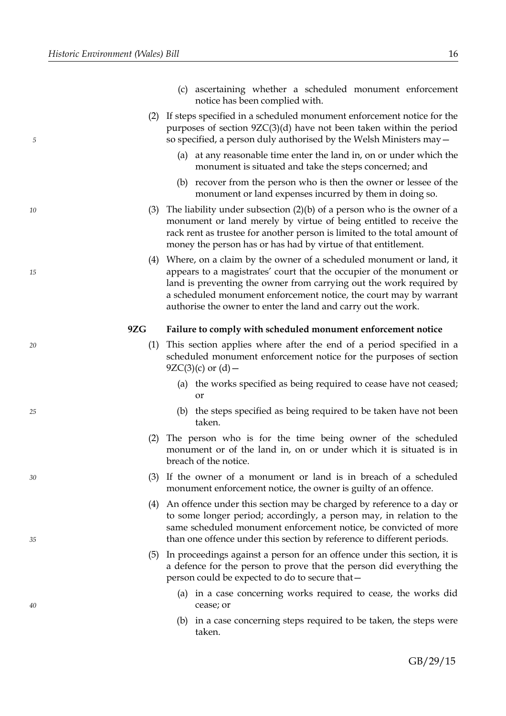*10*

*15*

*20*

*25*

*30*

*35*

*40*

- (c) ascertaining whether a scheduled monument enforcement notice has been complied with.
- (2) If steps specified in a scheduled monument enforcement notice for the purposes of section 9ZC(3)(d) have not been taken within the period so specified, a person duly authorised by the Welsh Ministers may—
	- (a) at any reasonable time enter the land in, on or under which the monument is situated and take the steps concerned; and
	- (b) recover from the person who is then the owner or lessee of the monument or land expenses incurred by them in doing so.
- (3) The liability under subsection  $(2)(b)$  of a person who is the owner of a monument or land merely by virtue of being entitled to receive the rack rent as trustee for another person is limited to the total amount of money the person has or has had by virtue of that entitlement.
- (4) Where, on a claim by the owner of a scheduled monument or land, it appears to a magistrates' court that the occupier of the monument or land is preventing the owner from carrying out the work required by a scheduled monument enforcement notice, the court may by warrant authorise the owner to enter the land and carry out the work.

# **9ZG Failure to comply with scheduled monument enforcement notice**

- (1) This section applies where after the end of a period specified in a scheduled monument enforcement notice for the purposes of section  $9ZC(3)(c)$  or  $(d)$  –
	- (a) the works specified as being required to cease have not ceased; or
	- (b) the steps specified as being required to be taken have not been taken.
- (2) The person who is for the time being owner of the scheduled monument or of the land in, on or under which it is situated is in breach of the notice.
- (3) If the owner of a monument or land is in breach of a scheduled monument enforcement notice, the owner is guilty of an offence.
- (4) An offence under this section may be charged by reference to a day or to some longer period; accordingly, a person may, in relation to the same scheduled monument enforcement notice, be convicted of more than one offence under this section by reference to different periods.
- (5) In proceedings against a person for an offence under this section, it is a defence for the person to prove that the person did everything the person could be expected to do to secure that—
	- (a) in a case concerning works required to cease, the works did cease; or
	- (b) in a case concerning steps required to be taken, the steps were taken.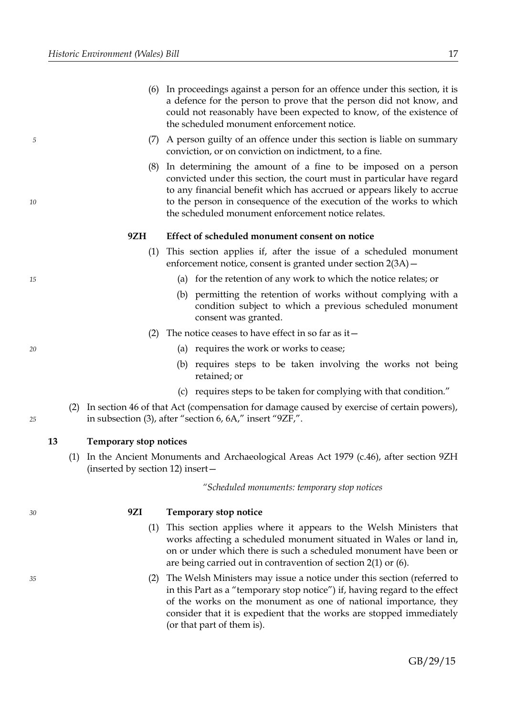- (6) In proceedings against a person for an offence under this section, it is a defence for the person to prove that the person did not know, and could not reasonably have been expected to know, of the existence of the scheduled monument enforcement notice.
- (7) A person guilty of an offence under this section is liable on summary conviction, or on conviction on indictment, to a fine.
- (8) In determining the amount of a fine to be imposed on a person convicted under this section, the court must in particular have regard to any financial benefit which has accrued or appears likely to accrue to the person in consequence of the execution of the works to which the scheduled monument enforcement notice relates.

### **9ZH Effect of scheduled monument consent on notice**

- (1) This section applies if, after the issue of a scheduled monument enforcement notice, consent is granted under section 2(3A)—
	- (a) for the retention of any work to which the notice relates; or
	- (b) permitting the retention of works without complying with a condition subject to which a previous scheduled monument consent was granted.
- (2) The notice ceases to have effect in so far as it  $-$ 
	- (a) requires the work or works to cease;
	- (b) requires steps to be taken involving the works not being retained; or
	- (c) requires steps to be taken for complying with that condition."
- (2) In section 46 of that Act (compensation for damage caused by exercise of certain powers), in subsection (3), after "section 6, 6A," insert "9ZF,".

#### <span id="page-20-0"></span>**13 Temporary stop notices**

(1) In the Ancient Monuments and Archaeological Areas Act 1979 (c.46), after section 9ZH (inserted by section [12\)](#page-16-0) insert—

*"Scheduled monuments: temporary stop notices*

*30*

*35*

*5*

*10*

*15*

*20*

*25*

#### **9ZI Temporary stop notice**

- (1) This section applies where it appears to the Welsh Ministers that works affecting a scheduled monument situated in Wales or land in, on or under which there is such a scheduled monument have been or are being carried out in contravention of section 2(1) or (6).
- (2) The Welsh Ministers may issue a notice under this section (referred to in this Part as a "temporary stop notice") if, having regard to the effect of the works on the monument as one of national importance, they consider that it is expedient that the works are stopped immediately (or that part of them is).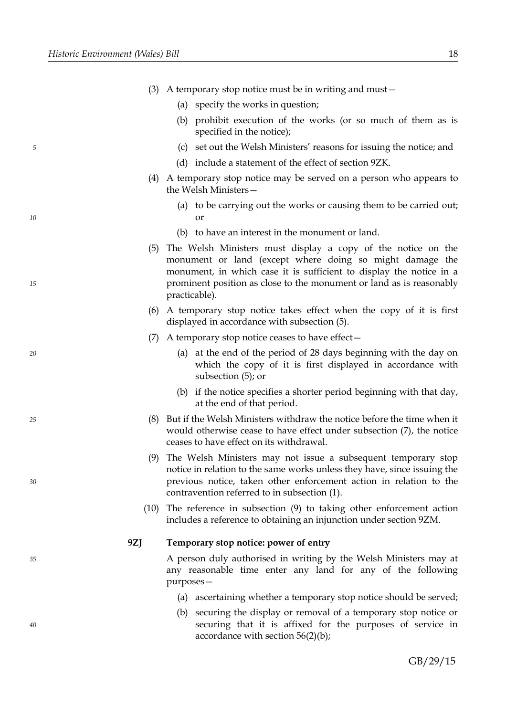| (3) A temporary stop notice must be in writing and must $-$ |  |  |  |
|-------------------------------------------------------------|--|--|--|
|                                                             |  |  |  |

- (a) specify the works in question;
- (b) prohibit execution of the works (or so much of them as is specified in the notice);
- (c) set out the Welsh Ministers' reasons for issuing the notice; and
- (d) include a statement of the effect of section 9ZK.
- (4) A temporary stop notice may be served on a person who appears to the Welsh Ministers—
	- (a) to be carrying out the works or causing them to be carried out; or
	- (b) to have an interest in the monument or land.
- (5) The Welsh Ministers must display a copy of the notice on the monument or land (except where doing so might damage the monument, in which case it is sufficient to display the notice in a prominent position as close to the monument or land as is reasonably practicable).
- (6) A temporary stop notice takes effect when the copy of it is first displayed in accordance with subsection (5).
- (7) A temporary stop notice ceases to have effect—
	- (a) at the end of the period of 28 days beginning with the day on which the copy of it is first displayed in accordance with subsection (5); or
	- (b) if the notice specifies a shorter period beginning with that day, at the end of that period.
- (8) But if the Welsh Ministers withdraw the notice before the time when it would otherwise cease to have effect under subsection (7), the notice ceases to have effect on its withdrawal.
- (9) The Welsh Ministers may not issue a subsequent temporary stop notice in relation to the same works unless they have, since issuing the previous notice, taken other enforcement action in relation to the contravention referred to in subsection (1).
- (10) The reference in subsection (9) to taking other enforcement action includes a reference to obtaining an injunction under section 9ZM.

### **9ZJ Temporary stop notice: power of entry**

A person duly authorised in writing by the Welsh Ministers may at any reasonable time enter any land for any of the following purposes—

- (a) ascertaining whether a temporary stop notice should be served;
- (b) securing the display or removal of a temporary stop notice or securing that it is affixed for the purposes of service in accordance with section 56(2)(b);

*40*

*35*

*15*

*10*

*5*

*20*

*25*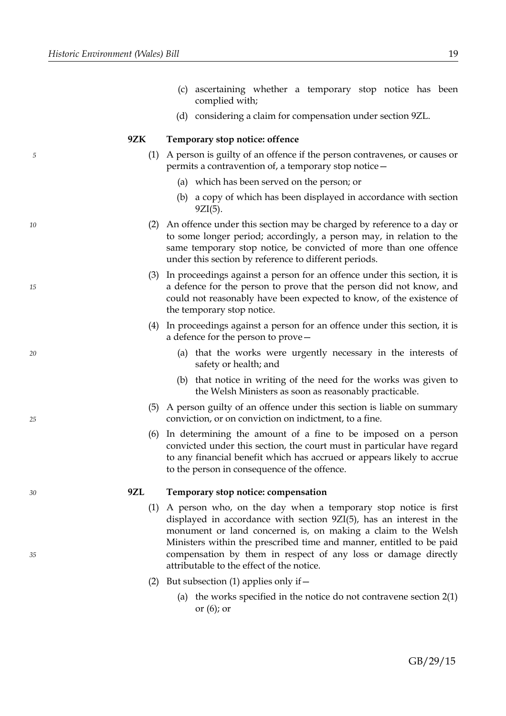*10*

*15*

*20*

*25*

*30*

*35*

- (c) ascertaining whether a temporary stop notice has been complied with;
- (d) considering a claim for compensation under section 9ZL.

# **9ZK Temporary stop notice: offence**

- (1) A person is guilty of an offence if the person contravenes, or causes or permits a contravention of, a temporary stop notice—
	- (a) which has been served on the person; or
	- (b) a copy of which has been displayed in accordance with section 9ZI(5).
- (2) An offence under this section may be charged by reference to a day or to some longer period; accordingly, a person may, in relation to the same temporary stop notice, be convicted of more than one offence under this section by reference to different periods.
- (3) In proceedings against a person for an offence under this section, it is a defence for the person to prove that the person did not know, and could not reasonably have been expected to know, of the existence of the temporary stop notice.
- (4) In proceedings against a person for an offence under this section, it is a defence for the person to prove—
	- (a) that the works were urgently necessary in the interests of safety or health; and
	- (b) that notice in writing of the need for the works was given to the Welsh Ministers as soon as reasonably practicable.
- (5) A person guilty of an offence under this section is liable on summary conviction, or on conviction on indictment, to a fine.
- (6) In determining the amount of a fine to be imposed on a person convicted under this section, the court must in particular have regard to any financial benefit which has accrued or appears likely to accrue to the person in consequence of the offence.

# **9ZL Temporary stop notice: compensation**

- (1) A person who, on the day when a temporary stop notice is first displayed in accordance with section 9ZI(5), has an interest in the monument or land concerned is, on making a claim to the Welsh Ministers within the prescribed time and manner, entitled to be paid compensation by them in respect of any loss or damage directly attributable to the effect of the notice.
- (2) But subsection (1) applies only if  $-$ 
	- (a) the works specified in the notice do not contravene section 2(1) or (6); or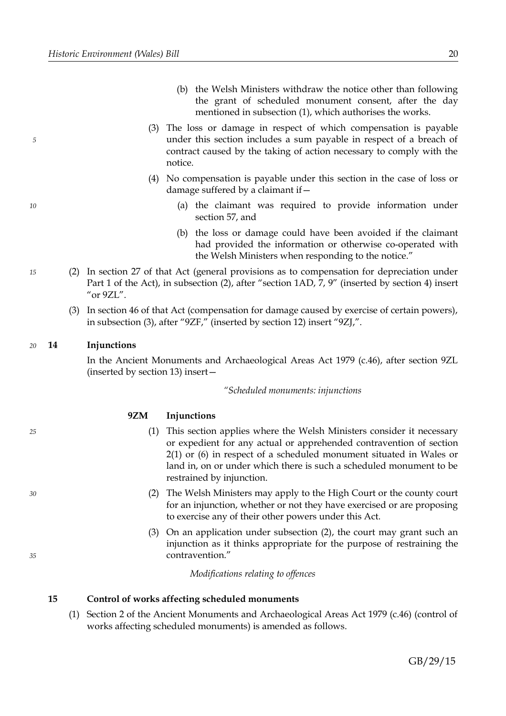- (b) the Welsh Ministers withdraw the notice other than following the grant of scheduled monument consent, after the day mentioned in subsection (1), which authorises the works.
- (3) The loss or damage in respect of which compensation is payable under this section includes a sum payable in respect of a breach of contract caused by the taking of action necessary to comply with the notice.
- (4) No compensation is payable under this section in the case of loss or damage suffered by a claimant if—
	- (a) the claimant was required to provide information under section 57, and
	- (b) the loss or damage could have been avoided if the claimant had provided the information or otherwise co-operated with the Welsh Ministers when responding to the notice."
- (2) In section 27 of that Act (general provisions as to compensation for depreciation under Part 1 of the Act), in subsection (2), after "section 1AD, 7, 9" (inserted by section [4\)](#page-10-0) insert "or 9ZL".
	- (3) In section 46 of that Act (compensation for damage caused by exercise of certain powers), in subsection (3), after "9ZF," (inserted by section [12\)](#page-16-0) insert "9ZJ,".

#### <span id="page-23-1"></span>**14 Injunctions** *20*

*5*

*10*

*15*

*25*

*30*

*35*

In the Ancient Monuments and Archaeological Areas Act 1979 (c.46), after section 9ZL (inserted by section [13\)](#page-20-0) insert—

*"Scheduled monuments: injunctions*

# **9ZM Injunctions**

- (1) This section applies where the Welsh Ministers consider it necessary or expedient for any actual or apprehended contravention of section 2(1) or (6) in respect of a scheduled monument situated in Wales or land in, on or under which there is such a scheduled monument to be restrained by injunction.
- (2) The Welsh Ministers may apply to the High Court or the county court for an injunction, whether or not they have exercised or are proposing to exercise any of their other powers under this Act.
- (3) On an application under subsection (2), the court may grant such an injunction as it thinks appropriate for the purpose of restraining the contravention."

*Modifications relating to offences*

#### <span id="page-23-0"></span>**15 Control of works affecting scheduled monuments**

(1) Section 2 of the Ancient Monuments and Archaeological Areas Act 1979 (c.46) (control of works affecting scheduled monuments) is amended as follows.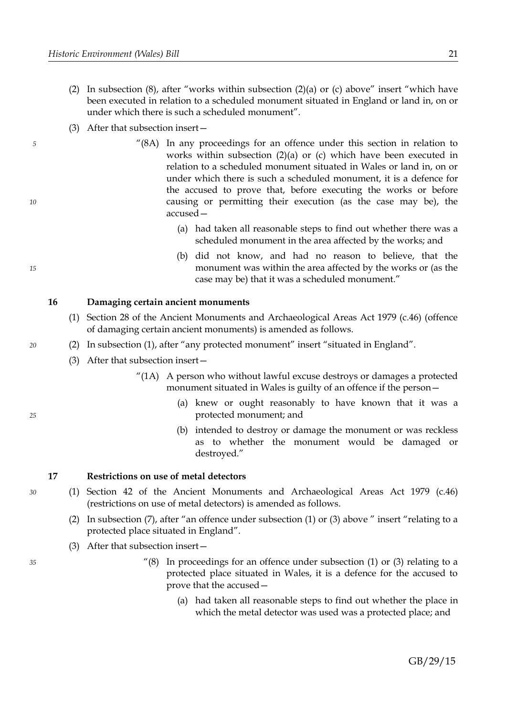- (2) In subsection (8), after "works within subsection (2)(a) or (c) above" insert "which have been executed in relation to a scheduled monument situated in England or land in, on or under which there is such a scheduled monument".
- (3) After that subsection insert—
	- "(8A) In any proceedings for an offence under this section in relation to works within subsection (2)(a) or (c) which have been executed in relation to a scheduled monument situated in Wales or land in, on or under which there is such a scheduled monument, it is a defence for the accused to prove that, before executing the works or before causing or permitting their execution (as the case may be), the accused—
		- (a) had taken all reasonable steps to find out whether there was a scheduled monument in the area affected by the works; and
		- (b) did not know, and had no reason to believe, that the monument was within the area affected by the works or (as the case may be) that it was a scheduled monument."

# **16 Damaging certain ancient monuments**

- (1) Section 28 of the Ancient Monuments and Archaeological Areas Act 1979 (c.46) (offence of damaging certain ancient monuments) is amended as follows.
- (2) In subsection (1), after "any protected monument" insert "situated in England".
	- (3) After that subsection insert—
		- "(1A) A person who without lawful excuse destroys or damages a protected monument situated in Wales is guilty of an offence if the person—
			- (a) knew or ought reasonably to have known that it was a protected monument; and
			- (b) intended to destroy or damage the monument or was reckless as to whether the monument would be damaged or destroyed."

#### <span id="page-24-0"></span>**17 Restrictions on use of metal detectors**

- (1) Section 42 of the Ancient Monuments and Archaeological Areas Act 1979 (c.46) (restrictions on use of metal detectors) is amended as follows.
- (2) In subsection (7), after "an offence under subsection (1) or (3) above " insert "relating to a protected place situated in England".
- (3) After that subsection insert—
	- $''(8)$  In proceedings for an offence under subsection (1) or (3) relating to a protected place situated in Wales, it is a defence for the accused to prove that the accused—
		- (a) had taken all reasonable steps to find out whether the place in which the metal detector was used was a protected place; and

*30*

*5*

*10*

*15*

*20*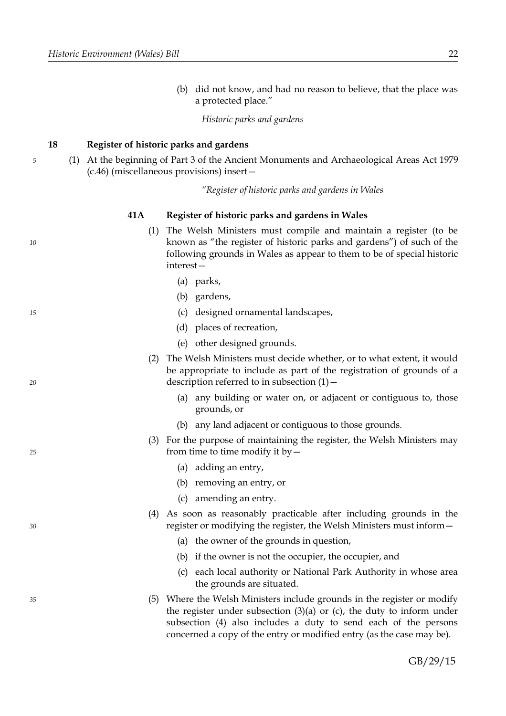*10*

*15*

*20*

*25*

*30*

*35*

(b) did not know, and had no reason to believe, that the place was a protected place."

*Historic parks and gardens*

# <span id="page-25-0"></span>**18 Register of historic parks and gardens**

(1) At the beginning of Part 3 of the Ancient Monuments and Archaeological Areas Act 1979 (c.46) (miscellaneous provisions) insert—

*"Register of historic parks and gardens in Wales*

#### **41A Register of historic parks and gardens in Wales**

- (1) The Welsh Ministers must compile and maintain a register (to be known as "the register of historic parks and gardens") of such of the following grounds in Wales as appear to them to be of special historic interest—
	- (a) parks,
	- (b) gardens,
	- (c) designed ornamental landscapes,
	- (d) places of recreation,
	- (e) other designed grounds.
- (2) The Welsh Ministers must decide whether, or to what extent, it would be appropriate to include as part of the registration of grounds of a description referred to in subsection  $(1)$  –
	- (a) any building or water on, or adjacent or contiguous to, those grounds, or
	- (b) any land adjacent or contiguous to those grounds.
- (3) For the purpose of maintaining the register, the Welsh Ministers may from time to time modify it by—
	- (a) adding an entry,
	- (b) removing an entry, or
	- (c) amending an entry.
- (4) As soon as reasonably practicable after including grounds in the register or modifying the register, the Welsh Ministers must inform—
	- (a) the owner of the grounds in question,
	- (b) if the owner is not the occupier, the occupier, and
	- (c) each local authority or National Park Authority in whose area the grounds are situated.
- (5) Where the Welsh Ministers include grounds in the register or modify the register under subsection  $(3)(a)$  or  $(c)$ , the duty to inform under subsection (4) also includes a duty to send each of the persons concerned a copy of the entry or modified entry (as the case may be).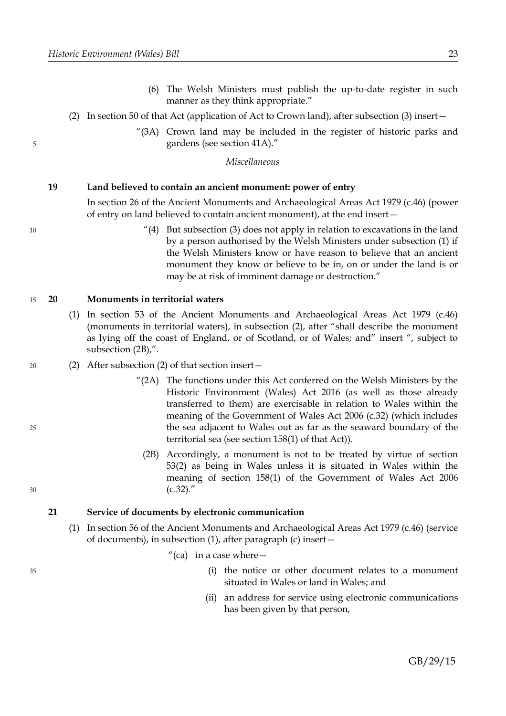- (6) The Welsh Ministers must publish the up-to-date register in such manner as they think appropriate."
- (2) In section 50 of that Act (application of Act to Crown land), after subsection (3) insert—
	- "(3A) Crown land may be included in the register of historic parks and gardens (see section 41A)."

*Miscellaneous*

#### <span id="page-26-2"></span>**19 Land believed to contain an ancient monument: power of entry**

In section 26 of the Ancient Monuments and Archaeological Areas Act 1979 (c.46) (power of entry on land believed to contain ancient monument), at the end insert—

> $''(4)$  But subsection (3) does not apply in relation to excavations in the land by a person authorised by the Welsh Ministers under subsection (1) if the Welsh Ministers know or have reason to believe that an ancient monument they know or believe to be in, on or under the land is or may be at risk of imminent damage or destruction."

#### <span id="page-26-1"></span>**20 Monuments in territorial waters** *15*

- (1) In section 53 of the Ancient Monuments and Archaeological Areas Act 1979 (c.46) (monuments in territorial waters), in subsection (2), after "shall describe the monument as lying off the coast of England, or of Scotland, or of Wales; and" insert ", subject to subsection (2B),".
- (2) After subsection (2) of that section insert—
	- "(2A) The functions under this Act conferred on the Welsh Ministers by the Historic Environment (Wales) Act 2016 (as well as those already transferred to them) are exercisable in relation to Wales within the meaning of the Government of Wales Act 2006 (c.32) (which includes the sea adjacent to Wales out as far as the seaward boundary of the territorial sea (see section 158(1) of that Act)).
		- (2B) Accordingly, a monument is not to be treated by virtue of section 53(2) as being in Wales unless it is situated in Wales within the meaning of section 158(1) of the Government of Wales Act 2006  $(c.32)$ ."

#### <span id="page-26-0"></span>**21 Service of documents by electronic communication**

(1) In section 56 of the Ancient Monuments and Archaeological Areas Act 1979 (c.46) (service of documents), in subsection (1), after paragraph (c) insert—

"(ca) in a case where  $-$ 

- (i) the notice or other document relates to a monument situated in Wales or land in Wales; and
- (ii) an address for service using electronic communications has been given by that person,

*25*

*30*

*20*

*5*

*10*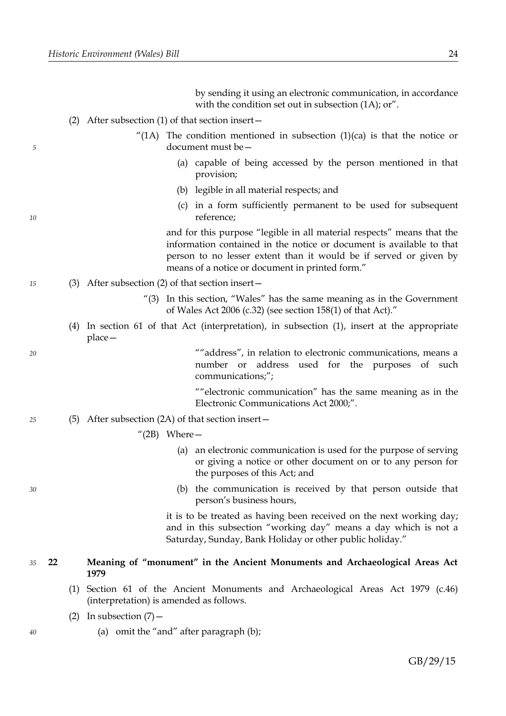by sending it using an electronic communication, in accordance with the condition set out in subsection (1A); or".

- (2) After subsection (1) of that section insert—
	- "(1A) The condition mentioned in subsection  $(1)(ca)$  is that the notice or document must be—
		- (a) capable of being accessed by the person mentioned in that provision;
		- (b) legible in all material respects; and
		- (c) in a form sufficiently permanent to be used for subsequent reference;

and for this purpose "legible in all material respects" means that the information contained in the notice or document is available to that person to no lesser extent than it would be if served or given by means of a notice or document in printed form."

- (3) After subsection (2) of that section insert—
	- "(3) In this section, "Wales" has the same meaning as in the Government of Wales Act 2006 (c.32) (see section 158(1) of that Act)."
	- (4) In section 61 of that Act (interpretation), in subsection (1), insert at the appropriate place—

""address", in relation to electronic communications, means a number or address used for the purposes of such communications;";

""electronic communication" has the same meaning as in the Electronic Communications Act 2000;".

- (5) After subsection (2A) of that section insert— *25*
	- " $(2B)$  Where -
		- (a) an electronic communication is used for the purpose of serving or giving a notice or other document on or to any person for the purposes of this Act; and
		- (b) the communication is received by that person outside that person's business hours,

it is to be treated as having been received on the next working day; and in this subsection "working day" means a day which is not a Saturday, Sunday, Bank Holiday or other public holiday."

- <span id="page-27-0"></span>**22 Meaning of "monument" in the Ancient Monuments and Archaeological Areas Act 1979** *35*
	- (1) Section 61 of the Ancient Monuments and Archaeological Areas Act 1979 (c.46) (interpretation) is amended as follows.
	- (2) In subsection  $(7)$  -
		- (a) omit the "and" after paragraph (b);

*20*

*5*

*10*

*15*

*30*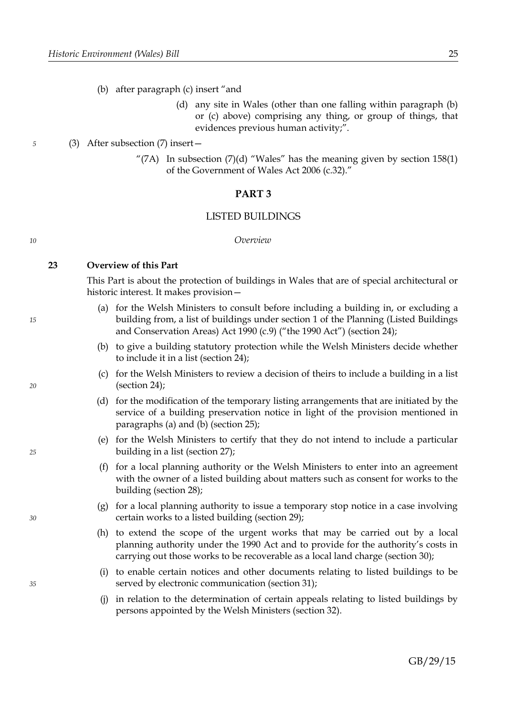- (b) after paragraph (c) insert "and
	- (d) any site in Wales (other than one falling within paragraph (b) or (c) above) comprising any thing, or group of things, that evidences previous human activity;".

### (3) After subsection (7) insert—

"(7A) In subsection (7)(d) "Wales" has the meaning given by section  $158(1)$ of the Government of Wales Act 2006 (c.32)."

# <span id="page-28-0"></span>**PART 3**

#### LISTED BUILDINGS

#### *Overview*

#### <span id="page-28-3"></span>**23 Overview of this Part**

This Part is about the protection of buildings in Wales that are of special architectural or historic interest. It makes provision—

- <span id="page-28-2"></span>(a) for the Welsh Ministers to consult before including a building in, or excluding a building from, a list of buildings under section 1 of the Planning (Listed Buildings and Conservation Areas) Act 1990 (c.9) ("the 1990 Act") (section [24\)](#page-29-0);
- <span id="page-28-1"></span>(b) to give a building statutory protection while the Welsh Ministers decide whether to include it in a list (section [24\)](#page-29-0);
- (c) for the Welsh Ministers to review a decision of theirs to include a building in a list (section [24\)](#page-29-0);
- (d) for the modification of the temporary listing arrangements that are initiated by the service of a building preservation notice in light of the provision mentioned in paragraphs [\(a\)](#page-28-2) and [\(b\)](#page-28-1) (section [25\)](#page-32-0);
- (e) for the Welsh Ministers to certify that they do not intend to include a particular building in a list (section [27\)](#page-36-0);
- (f) for a local planning authority or the Welsh Ministers to enter into an agreement with the owner of a listed building about matters such as consent for works to the building (section [28\)](#page-37-0);
- (g) for a local planning authority to issue a temporary stop notice in a case involving certain works to a listed building (section [29\)](#page-40-0);
- (h) to extend the scope of the urgent works that may be carried out by a local planning authority under the 1990 Act and to provide for the authority's costs in carrying out those works to be recoverable as a local land charge (section [30\)](#page-43-0);
- (i) to enable certain notices and other documents relating to listed buildings to be served by electronic communication (section [31\)](#page-45-3);
- (j) in relation to the determination of certain appeals relating to listed buildings by persons appointed by the Welsh Ministers (section [32\)](#page-45-2).

*10*

*15*

*20*

*25*

*30*

*35*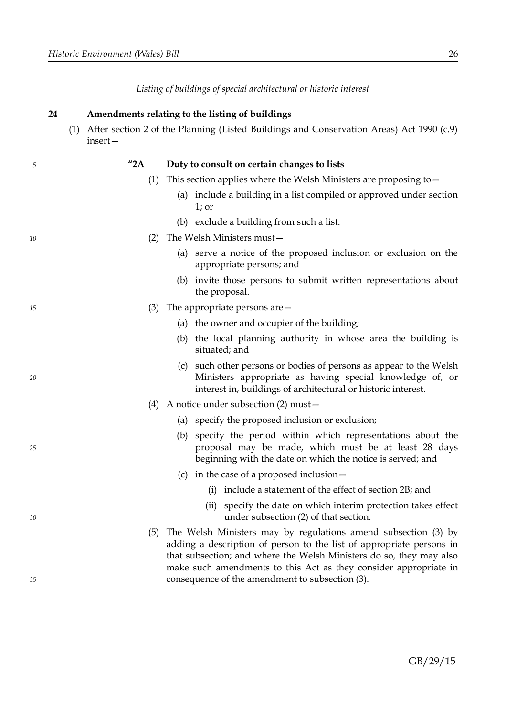*Listing of buildings of special architectural or historic interest*

|    | (1)<br>insert-      | After section 2 of the Planning (Listed Buildings and Conservation Areas) Act 1990 (c.9)                                                                                                                                                                                                                                             |
|----|---------------------|--------------------------------------------------------------------------------------------------------------------------------------------------------------------------------------------------------------------------------------------------------------------------------------------------------------------------------------|
| 5  | $^{\prime\prime}2A$ | Duty to consult on certain changes to lists                                                                                                                                                                                                                                                                                          |
|    | (1)                 | This section applies where the Welsh Ministers are proposing to $-$                                                                                                                                                                                                                                                                  |
|    |                     | (a) include a building in a list compiled or approved under section<br>$1$ ; or                                                                                                                                                                                                                                                      |
|    |                     | (b) exclude a building from such a list.                                                                                                                                                                                                                                                                                             |
| 10 | (2)                 | The Welsh Ministers must-                                                                                                                                                                                                                                                                                                            |
|    |                     | (a) serve a notice of the proposed inclusion or exclusion on the<br>appropriate persons; and                                                                                                                                                                                                                                         |
|    |                     | invite those persons to submit written representations about<br>(b)<br>the proposal.                                                                                                                                                                                                                                                 |
| 15 | (3)                 | The appropriate persons are $-$                                                                                                                                                                                                                                                                                                      |
|    |                     | (a) the owner and occupier of the building;                                                                                                                                                                                                                                                                                          |
|    |                     | (b) the local planning authority in whose area the building is<br>situated; and                                                                                                                                                                                                                                                      |
| 20 |                     | (c) such other persons or bodies of persons as appear to the Welsh<br>Ministers appropriate as having special knowledge of, or<br>interest in, buildings of architectural or historic interest.                                                                                                                                      |
|    |                     | (4) A notice under subsection (2) must $-$                                                                                                                                                                                                                                                                                           |
|    |                     | (a) specify the proposed inclusion or exclusion;                                                                                                                                                                                                                                                                                     |
| 25 |                     | specify the period within which representations about the<br>(b)<br>proposal may be made, which must be at least 28 days<br>beginning with the date on which the notice is served; and                                                                                                                                               |
|    |                     | (c) in the case of a proposed inclusion $-$                                                                                                                                                                                                                                                                                          |
|    |                     | (i) include a statement of the effect of section 2B; and                                                                                                                                                                                                                                                                             |
| 30 |                     | (ii) specify the date on which interim protection takes effect<br>under subsection (2) of that section.                                                                                                                                                                                                                              |
| 35 | (5)                 | The Welsh Ministers may by regulations amend subsection (3) by<br>adding a description of person to the list of appropriate persons in<br>that subsection; and where the Welsh Ministers do so, they may also<br>make such amendments to this Act as they consider appropriate in<br>consequence of the amendment to subsection (3). |
|    |                     |                                                                                                                                                                                                                                                                                                                                      |

# <span id="page-29-0"></span>**24 Amendments relating to the listing of buildings**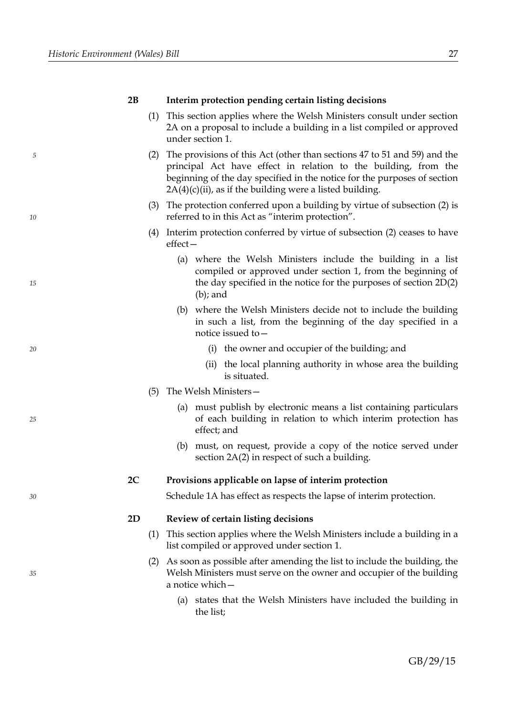*10*

*15*

*20*

*25*

*30*

*35*

# **2B Interim protection pending certain listing decisions**

- (1) This section applies where the Welsh Ministers consult under section 2A on a proposal to include a building in a list compiled or approved under section 1.
- (2) The provisions of this Act (other than sections 47 to 51 and 59) and the principal Act have effect in relation to the building, from the beginning of the day specified in the notice for the purposes of section  $2A(4)(c)(ii)$ , as if the building were a listed building.
- (3) The protection conferred upon a building by virtue of subsection (2) is referred to in this Act as "interim protection".
- (4) Interim protection conferred by virtue of subsection (2) ceases to have effect—
	- (a) where the Welsh Ministers include the building in a list compiled or approved under section 1, from the beginning of the day specified in the notice for the purposes of section 2D(2) (b); and
	- (b) where the Welsh Ministers decide not to include the building in such a list, from the beginning of the day specified in a notice issued to—
		- (i) the owner and occupier of the building; and
		- (ii) the local planning authority in whose area the building is situated.
- (5) The Welsh Ministers—
	- (a) must publish by electronic means a list containing particulars of each building in relation to which interim protection has effect; and
	- (b) must, on request, provide a copy of the notice served under section 2A(2) in respect of such a building.

# **2C Provisions applicable on lapse of interim protection**

Schedule 1A has effect as respects the lapse of interim protection.

#### **2D Review of certain listing decisions**

- (1) This section applies where the Welsh Ministers include a building in a list compiled or approved under section 1.
- (2) As soon as possible after amending the list to include the building, the Welsh Ministers must serve on the owner and occupier of the building a notice which—
	- (a) states that the Welsh Ministers have included the building in the list;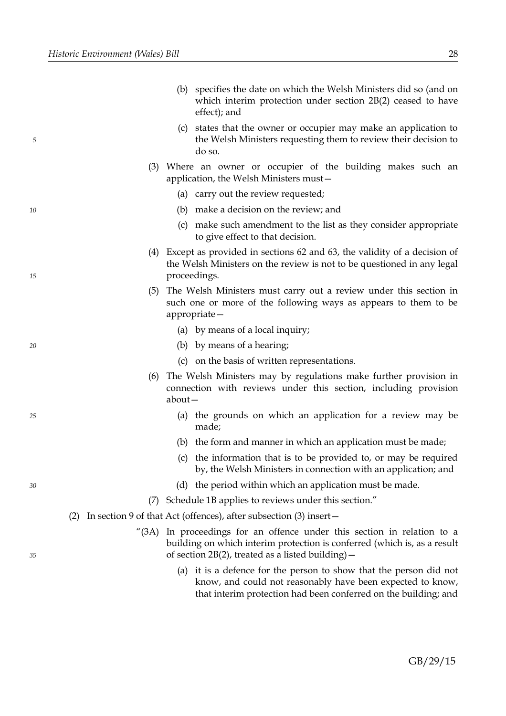|    |     | (b) specifies the date on which the Welsh Ministers did so (and on<br>which interim protection under section $2B(2)$ ceased to have<br>effect); and                                                         |
|----|-----|-------------------------------------------------------------------------------------------------------------------------------------------------------------------------------------------------------------|
| 5  |     | (c) states that the owner or occupier may make an application to<br>the Welsh Ministers requesting them to review their decision to<br>do so.                                                               |
|    | (3) | Where an owner or occupier of the building makes such an<br>application, the Welsh Ministers must-                                                                                                          |
|    |     | (a) carry out the review requested;                                                                                                                                                                         |
| 10 |     | (b) make a decision on the review; and                                                                                                                                                                      |
|    |     | make such amendment to the list as they consider appropriate<br>(c)<br>to give effect to that decision.                                                                                                     |
| 15 | (4) | Except as provided in sections 62 and 63, the validity of a decision of<br>the Welsh Ministers on the review is not to be questioned in any legal<br>proceedings.                                           |
|    | (5) | The Welsh Ministers must carry out a review under this section in<br>such one or more of the following ways as appears to them to be<br>appropriate-                                                        |
|    |     | (a) by means of a local inquiry;                                                                                                                                                                            |
| 20 |     | (b) by means of a hearing;                                                                                                                                                                                  |
|    |     | (c) on the basis of written representations.                                                                                                                                                                |
|    | (6) | The Welsh Ministers may by regulations make further provision in<br>connection with reviews under this section, including provision<br>$about-$                                                             |
| 25 |     | the grounds on which an application for a review may be<br>(a)<br>made;                                                                                                                                     |
|    |     | (b) the form and manner in which an application must be made;                                                                                                                                               |
|    |     | the information that is to be provided to, or may be required<br>(C)<br>by, the Welsh Ministers in connection with an application; and                                                                      |
| 30 |     | (d) the period within which an application must be made.                                                                                                                                                    |
|    |     | (7) Schedule 1B applies to reviews under this section."                                                                                                                                                     |
|    |     | (2) In section 9 of that Act (offences), after subsection $(3)$ insert –                                                                                                                                    |
| 35 |     | "(3A) In proceedings for an offence under this section in relation to a<br>building on which interim protection is conferred (which is, as a result<br>of section $2B(2)$ , treated as a listed building) – |
|    |     | (a) it is a defence for the person to show that the person did not<br>know, and could not reasonably have been expected to know,                                                                            |

that interim protection had been conferred on the building; and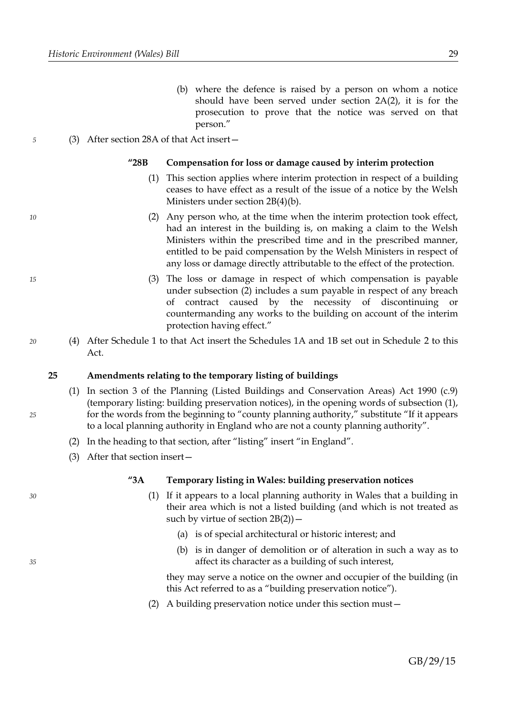(b) where the defence is raised by a person on whom a notice should have been served under section 2A(2), it is for the prosecution to prove that the notice was served on that person."

# (3) After section 28A of that Act insert—

# **"28B Compensation for loss or damage caused by interim protection**

- (1) This section applies where interim protection in respect of a building ceases to have effect as a result of the issue of a notice by the Welsh Ministers under section 2B(4)(b).
- (2) Any person who, at the time when the interim protection took effect, had an interest in the building is, on making a claim to the Welsh Ministers within the prescribed time and in the prescribed manner, entitled to be paid compensation by the Welsh Ministers in respect of any loss or damage directly attributable to the effect of the protection.
- (3) The loss or damage in respect of which compensation is payable under subsection (2) includes a sum payable in respect of any breach of contract caused by the necessity of discontinuing or countermanding any works to the building on account of the interim protection having effect."
- (4) After Schedule 1 to that Act insert the Schedules 1A and 1B set out in Schedule [2](#page-57-0) to this Act.

# <span id="page-32-0"></span>**25 Amendments relating to the temporary listing of buildings**

- (1) In section 3 of the Planning (Listed Buildings and Conservation Areas) Act 1990 (c.9) (temporary listing: building preservation notices), in the opening words of subsection (1), for the words from the beginning to "county planning authority," substitute "If it appears to a local planning authority in England who are not a county planning authority".
- (2) In the heading to that section, after "listing" insert "in England".
- (3) After that section insert—

# **"3A Temporary listing in Wales: building preservation notices**

- (1) If it appears to a local planning authority in Wales that a building in their area which is not a listed building (and which is not treated as such by virtue of section  $2B(2)$ ) –
	- (a) is of special architectural or historic interest; and
	- (b) is in danger of demolition or of alteration in such a way as to affect its character as a building of such interest,

they may serve a notice on the owner and occupier of the building (in this Act referred to as a "building preservation notice").

(2) A building preservation notice under this section must—

*30*

*35*

*25*

*20*

*5*

*10*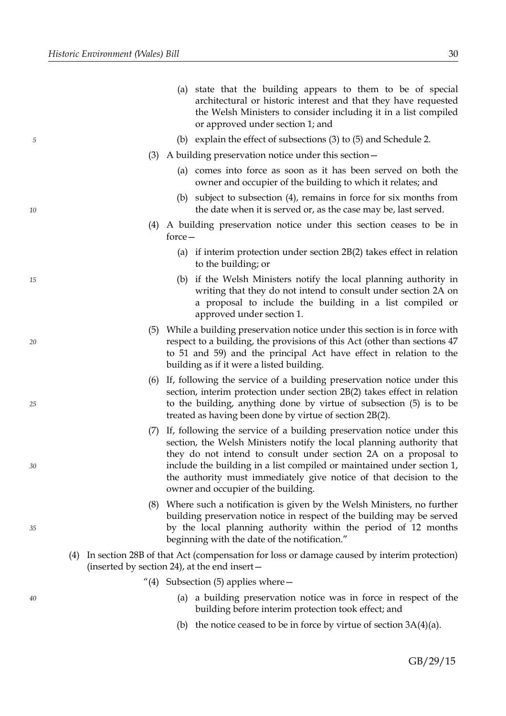*10*

*15*

*20*

*25*

*30*

*35*

|     | (a) state that the building appears to them to be of special<br>architectural or historic interest and that they have requested<br>the Welsh Ministers to consider including it in a list compiled<br>or approved under section 1; and                                                                                                                                                                    |
|-----|-----------------------------------------------------------------------------------------------------------------------------------------------------------------------------------------------------------------------------------------------------------------------------------------------------------------------------------------------------------------------------------------------------------|
|     | (b) explain the effect of subsections (3) to (5) and Schedule 2.                                                                                                                                                                                                                                                                                                                                          |
| (3) | A building preservation notice under this section –                                                                                                                                                                                                                                                                                                                                                       |
|     | (a) comes into force as soon as it has been served on both the<br>owner and occupier of the building to which it relates; and                                                                                                                                                                                                                                                                             |
|     | (b) subject to subsection (4), remains in force for six months from<br>the date when it is served or, as the case may be, last served.                                                                                                                                                                                                                                                                    |
|     | (4) A building preservation notice under this section ceases to be in<br>$force -$                                                                                                                                                                                                                                                                                                                        |
|     | (a) if interim protection under section $2B(2)$ takes effect in relation<br>to the building; or                                                                                                                                                                                                                                                                                                           |
|     | (b) if the Welsh Ministers notify the local planning authority in<br>writing that they do not intend to consult under section 2A on<br>a proposal to include the building in a list compiled or<br>approved under section 1.                                                                                                                                                                              |
|     | (5) While a building preservation notice under this section is in force with<br>respect to a building, the provisions of this Act (other than sections 47<br>to 51 and 59) and the principal Act have effect in relation to the<br>building as if it were a listed building.                                                                                                                              |
| (6) | If, following the service of a building preservation notice under this<br>section, interim protection under section 2B(2) takes effect in relation<br>to the building, anything done by virtue of subsection (5) is to be<br>treated as having been done by virtue of section 2B(2).                                                                                                                      |
| (7) | If, following the service of a building preservation notice under this<br>section, the Welsh Ministers notify the local planning authority that<br>they do not intend to consult under section 2A on a proposal to<br>include the building in a list compiled or maintained under section 1,<br>the authority must immediately give notice of that decision to the<br>owner and occupier of the building. |
|     | (8) Where such a notification is given by the Welsh Ministers, no further<br>building preservation notice in respect of the building may be served<br>by the local planning authority within the period of 12 months<br>beginning with the date of the notification."                                                                                                                                     |
| (4) | In section 28B of that Act (compensation for loss or damage caused by interim protection)<br>(inserted by section 24), at the end insert-                                                                                                                                                                                                                                                                 |
|     | "(4) Subsection (5) applies where $-$                                                                                                                                                                                                                                                                                                                                                                     |
|     | a building preservation notice was in force in respect of the<br>(a)<br>building before interim protection took effect; and                                                                                                                                                                                                                                                                               |
|     | (b) the notice ceased to be in force by virtue of section $3A(4)(a)$ .                                                                                                                                                                                                                                                                                                                                    |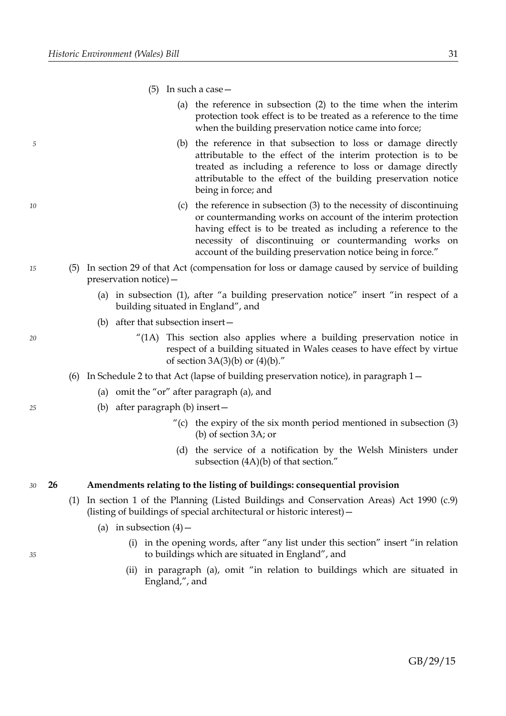- (5) In such a case—
	- (a) the reference in subsection (2) to the time when the interim protection took effect is to be treated as a reference to the time when the building preservation notice came into force;
	- (b) the reference in that subsection to loss or damage directly attributable to the effect of the interim protection is to be treated as including a reference to loss or damage directly attributable to the effect of the building preservation notice being in force; and
	- (c) the reference in subsection (3) to the necessity of discontinuing or countermanding works on account of the interim protection having effect is to be treated as including a reference to the necessity of discontinuing or countermanding works on account of the building preservation notice being in force."
- (5) In section 29 of that Act (compensation for loss or damage caused by service of building preservation notice)—
	- (a) in subsection (1), after "a building preservation notice" insert "in respect of a building situated in England", and
	- (b) after that subsection insert—
		- "(1A) This section also applies where a building preservation notice in respect of a building situated in Wales ceases to have effect by virtue of section  $3A(3)(b)$  or  $(4)(b)$ ."
	- (6) In Schedule 2 to that Act (lapse of building preservation notice), in paragraph 1—
		- (a) omit the "or" after paragraph (a), and
		- (b) after paragraph (b) insert—
			- "(c) the expiry of the six month period mentioned in subsection  $(3)$ (b) of section 3A; or
			- (d) the service of a notification by the Welsh Ministers under subsection (4A)(b) of that section."

#### **26 Amendments relating to the listing of buildings: consequential provision** *30*

- (1) In section 1 of the Planning (Listed Buildings and Conservation Areas) Act 1990 (c.9) (listing of buildings of special architectural or historic interest)—
	- (a) in subsection  $(4)$ 
		- (i) in the opening words, after "any list under this section" insert "in relation to buildings which are situated in England", and
		- (ii) in paragraph (a), omit "in relation to buildings which are situated in England,", and

*20*

*25*

*35*

*5*

*10*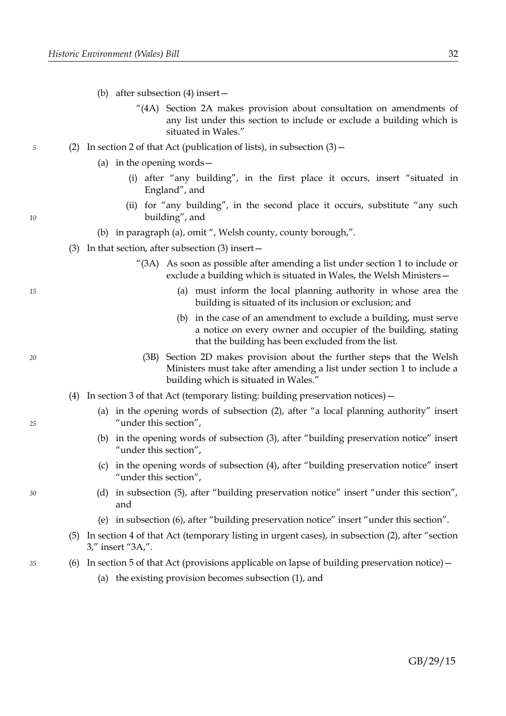- (b) after subsection (4) insert—
	- "(4A) Section 2A makes provision about consultation on amendments of any list under this section to include or exclude a building which is situated in Wales."
- (2) In section 2 of that Act (publication of lists), in subsection  $(3)$  -
	- (a) in the opening words—
		- (i) after "any building", in the first place it occurs, insert "situated in England", and
		- (ii) for "any building", in the second place it occurs, substitute "any such building", and
	- (b) in paragraph (a), omit ", Welsh county, county borough,".
	- (3) In that section, after subsection (3) insert—
		- "(3A) As soon as possible after amending a list under section 1 to include or exclude a building which is situated in Wales, the Welsh Ministers—
			- (a) must inform the local planning authority in whose area the building is situated of its inclusion or exclusion; and
			- (b) in the case of an amendment to exclude a building, must serve a notice on every owner and occupier of the building, stating that the building has been excluded from the list.
			- (3B) Section 2D makes provision about the further steps that the Welsh Ministers must take after amending a list under section 1 to include a building which is situated in Wales."
	- (4) In section 3 of that Act (temporary listing: building preservation notices)—
		- (a) in the opening words of subsection (2), after "a local planning authority" insert "under this section",
		- (b) in the opening words of subsection (3), after "building preservation notice" insert "under this section",
		- (c) in the opening words of subsection (4), after "building preservation notice" insert "under this section",
		- (d) in subsection (5), after "building preservation notice" insert "under this section", and
		- (e) in subsection (6), after "building preservation notice" insert "under this section".
	- (5) In section 4 of that Act (temporary listing in urgent cases), in subsection (2), after "section 3," insert "3A,".
	- (6) In section 5 of that Act (provisions applicable on lapse of building preservation notice)  $-$ 
		- (a) the existing provision becomes subsection (1), and

*5*

*20*

*15*

*30*

*35*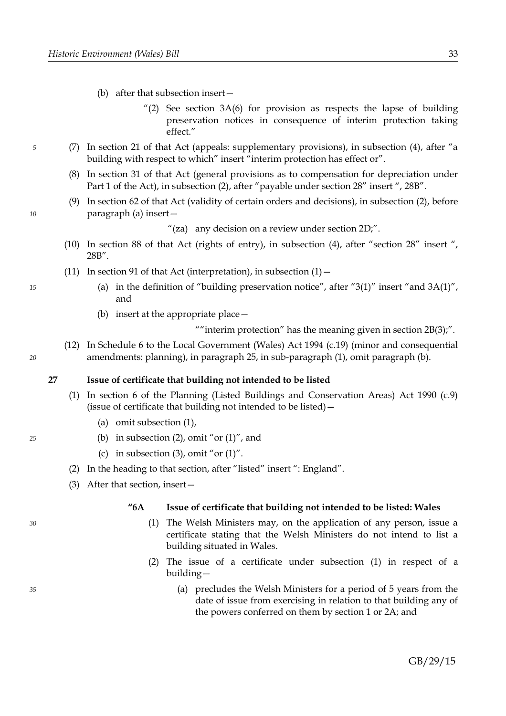- (b) after that subsection insert—
	- $^{\prime\prime}(2)$  See section 3A(6) for provision as respects the lapse of building preservation notices in consequence of interim protection taking effect."
- (7) In section 21 of that Act (appeals: supplementary provisions), in subsection (4), after "a building with respect to which" insert "interim protection has effect or".
- (8) In section 31 of that Act (general provisions as to compensation for depreciation under Part 1 of the Act), in subsection (2), after "payable under section 28" insert ", 28B".
- (9) In section 62 of that Act (validity of certain orders and decisions), in subsection (2), before paragraph (a) insert—

"(za) any decision on a review under section  $2D$ ;".

- (10) In section 88 of that Act (rights of entry), in subsection (4), after "section 28" insert ", 28B".
- (11) In section 91 of that Act (interpretation), in subsection  $(1)$ 
	- (a) in the definition of "building preservation notice", after "3(1)" insert "and  $3A(1)$ ", and
	- (b) insert at the appropriate place—

"" interim protection" has the meaning given in section 2B(3);".

(12) In Schedule 6 to the Local Government (Wales) Act 1994 (c.19) (minor and consequential amendments: planning), in paragraph 25, in sub-paragraph (1), omit paragraph (b).

# <span id="page-36-0"></span>**27 Issue of certificate that building not intended to be listed**

- (1) In section 6 of the Planning (Listed Buildings and Conservation Areas) Act 1990 (c.9) (issue of certificate that building not intended to be listed)—
	- (a) omit subsection (1),
	- (b) in subsection  $(2)$ , omit "or  $(1)$ ", and
	- (c) in subsection (3), omit "or  $(1)$ ".
- (2) In the heading to that section, after "listed" insert ": England".
- (3) After that section, insert—

# **"6A Issue of certificate that building not intended to be listed: Wales**

- (1) The Welsh Ministers may, on the application of any person, issue a certificate stating that the Welsh Ministers do not intend to list a building situated in Wales.
- (2) The issue of a certificate under subsection (1) in respect of a building—
	- (a) precludes the Welsh Ministers for a period of 5 years from the date of issue from exercising in relation to that building any of the powers conferred on them by section 1 or 2A; and

*35*

*30*

*25*

*5*

*10*

*15*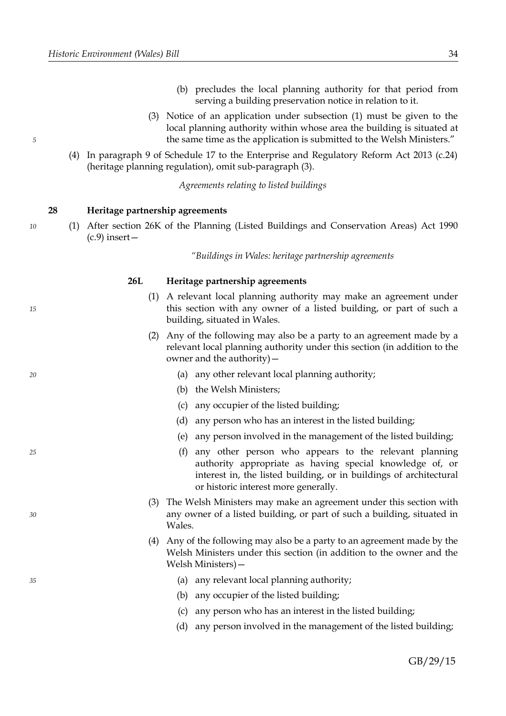*10*

*15*

*20*

*25*

*30*

*35*

- (b) precludes the local planning authority for that period from serving a building preservation notice in relation to it.
- (3) Notice of an application under subsection (1) must be given to the local planning authority within whose area the building is situated at the same time as the application is submitted to the Welsh Ministers."
- (4) In paragraph 9 of Schedule 17 to the Enterprise and Regulatory Reform Act 2013 (c.24) (heritage planning regulation), omit sub-paragraph (3).

*Agreements relating to listed buildings*

#### <span id="page-37-0"></span>**28 Heritage partnership agreements**

(1) After section 26K of the Planning (Listed Buildings and Conservation Areas) Act 1990  $(c.9)$  insert –

*"Buildings in Wales: heritage partnership agreements*

#### **26L Heritage partnership agreements**

- (1) A relevant local planning authority may make an agreement under this section with any owner of a listed building, or part of such a building, situated in Wales.
- (2) Any of the following may also be a party to an agreement made by a relevant local planning authority under this section (in addition to the owner and the authority)—
	- (a) any other relevant local planning authority;
	- (b) the Welsh Ministers;
	- (c) any occupier of the listed building;
	- (d) any person who has an interest in the listed building;
	- (e) any person involved in the management of the listed building;
	- (f) any other person who appears to the relevant planning authority appropriate as having special knowledge of, or interest in, the listed building, or in buildings of architectural or historic interest more generally.
- (3) The Welsh Ministers may make an agreement under this section with any owner of a listed building, or part of such a building, situated in Wales.
- (4) Any of the following may also be a party to an agreement made by the Welsh Ministers under this section (in addition to the owner and the Welsh Ministers)—
	- (a) any relevant local planning authority;
	- (b) any occupier of the listed building;
	- (c) any person who has an interest in the listed building;
	- (d) any person involved in the management of the listed building;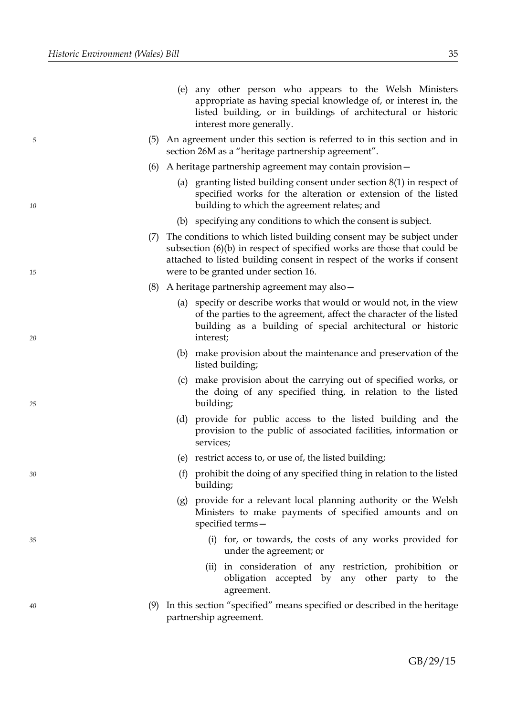*10*

*15*

*20*

*25*

*30*

*35*

|  |                          |  |  |  | (e) any other person who appears to the Welsh Ministers         |
|--|--------------------------|--|--|--|-----------------------------------------------------------------|
|  |                          |  |  |  | appropriate as having special knowledge of, or interest in, the |
|  |                          |  |  |  | listed building, or in buildings of architectural or historic   |
|  | interest more generally. |  |  |  |                                                                 |

- (5) An agreement under this section is referred to in this section and in section 26M as a "heritage partnership agreement".
- (6) A heritage partnership agreement may contain provision—
	- (a) granting listed building consent under section 8(1) in respect of specified works for the alteration or extension of the listed building to which the agreement relates; and
	- (b) specifying any conditions to which the consent is subject.
- (7) The conditions to which listed building consent may be subject under subsection (6)(b) in respect of specified works are those that could be attached to listed building consent in respect of the works if consent were to be granted under section 16.
- (8) A heritage partnership agreement may also—
	- (a) specify or describe works that would or would not, in the view of the parties to the agreement, affect the character of the listed building as a building of special architectural or historic interest;
	- (b) make provision about the maintenance and preservation of the listed building;
	- (c) make provision about the carrying out of specified works, or the doing of any specified thing, in relation to the listed building;
	- (d) provide for public access to the listed building and the provision to the public of associated facilities, information or services;
	- (e) restrict access to, or use of, the listed building;
	- (f) prohibit the doing of any specified thing in relation to the listed building;
	- (g) provide for a relevant local planning authority or the Welsh Ministers to make payments of specified amounts and on specified terms—
		- (i) for, or towards, the costs of any works provided for under the agreement; or
		- (ii) in consideration of any restriction, prohibition or obligation accepted by any other party to the agreement.
- (9) In this section "specified" means specified or described in the heritage partnership agreement.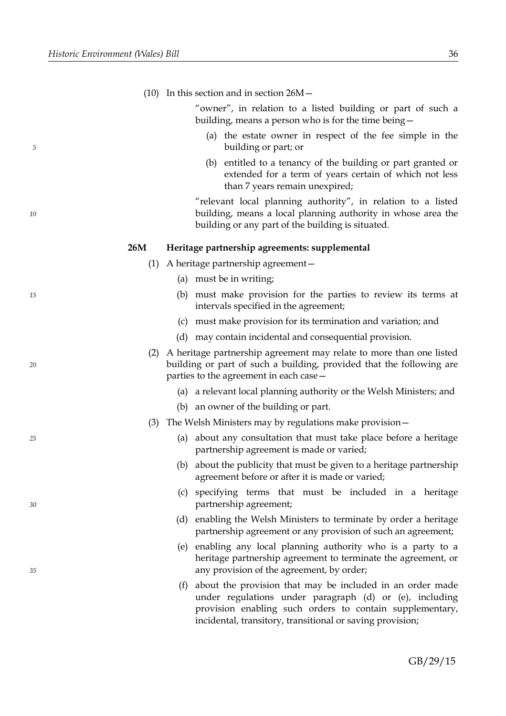|    |     | (10) In this section and in section $26M -$                                                                                                                                            |
|----|-----|----------------------------------------------------------------------------------------------------------------------------------------------------------------------------------------|
|    |     | "owner", in relation to a listed building or part of such a<br>building, means a person who is for the time being -                                                                    |
| 5  |     | (a) the estate owner in respect of the fee simple in the<br>building or part; or                                                                                                       |
|    |     | entitled to a tenancy of the building or part granted or<br>(b)<br>extended for a term of years certain of which not less<br>than 7 years remain unexpired;                            |
| 10 |     | "relevant local planning authority", in relation to a listed<br>building, means a local planning authority in whose area the<br>building or any part of the building is situated.      |
|    | 26M | Heritage partnership agreements: supplemental                                                                                                                                          |
|    | (1) | A heritage partnership agreement –                                                                                                                                                     |
|    |     | must be in writing;<br>(a)                                                                                                                                                             |
| 15 |     | must make provision for the parties to review its terms at<br>(b)<br>intervals specified in the agreement;                                                                             |
|    |     | must make provision for its termination and variation; and<br>(c)                                                                                                                      |
|    |     | (d) may contain incidental and consequential provision.                                                                                                                                |
| 20 | (2) | A heritage partnership agreement may relate to more than one listed<br>building or part of such a building, provided that the following are<br>parties to the agreement in each case – |
|    |     | (a) a relevant local planning authority or the Welsh Ministers; and                                                                                                                    |
|    |     | (b) an owner of the building or part.                                                                                                                                                  |
|    | (3) | The Welsh Ministers may by regulations make provision-                                                                                                                                 |
| 25 |     | (a) about any consultation that must take place before a heritage<br>partnership agreement is made or varied;                                                                          |
|    |     | (b) about the publicity that must be given to a heritage partnership<br>agreement before or after it is made or varied;                                                                |
| 30 |     | (c) specifying terms that must be included in a heritage<br>partnership agreement;                                                                                                     |
|    |     | (d) enabling the Welsh Ministers to terminate by order a heritage<br>partnership agreement or any provision of such an agreement;                                                      |
| 35 |     | (e) enabling any local planning authority who is a party to a<br>heritage partnership agreement to terminate the agreement, or<br>any provision of the agreement, by order;            |
|    |     | (f) about the provision that may be included in an order made<br>under regulations under paragraph (d) or (e), including<br>provision enabling such orders to contain supplementary,   |

incidental, transitory, transitional or saving provision;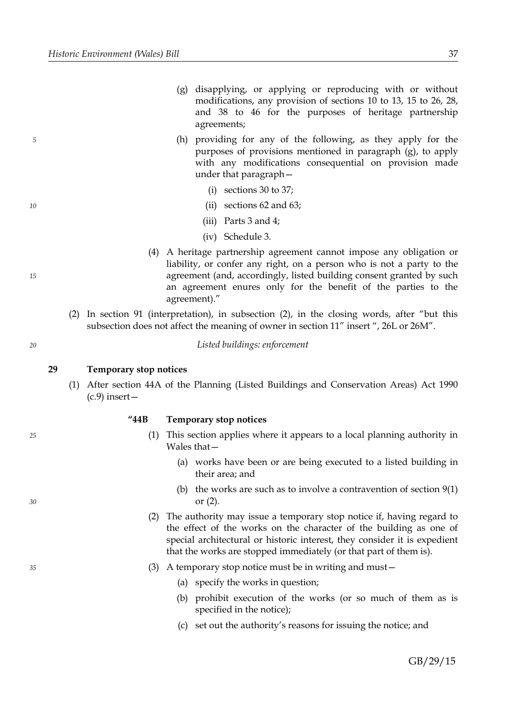- (h) providing for any of the following, as they apply for the purposes of provisions mentioned in paragraph (g), to apply with any modifications consequential on provision made under that paragraph—
	- (i) sections 30 to 37;
	- (ii) sections 62 and 63;
	- (iii) Parts 3 and 4;
	- (iv) Schedule 3.
- (4) A heritage partnership agreement cannot impose any obligation or liability, or confer any right, on a person who is not a party to the agreement (and, accordingly, listed building consent granted by such an agreement enures only for the benefit of the parties to the agreement)."
- (2) In section 91 (interpretation), in subsection (2), in the closing words, after "but this subsection does not affect the meaning of owner in section 11" insert ", 26L or 26M".

*Listed buildings: enforcement*

#### <span id="page-40-0"></span>**29 Temporary stop notices**

(1) After section 44A of the Planning (Listed Buildings and Conservation Areas) Act 1990  $(c.9)$  insert –

**"44B Temporary stop notices**

- (1) This section applies where it appears to a local planning authority in Wales that-
	- (a) works have been or are being executed to a listed building in their area; and
	- (b) the works are such as to involve a contravention of section 9(1) or (2).
- (2) The authority may issue a temporary stop notice if, having regard to the effect of the works on the character of the building as one of special architectural or historic interest, they consider it is expedient that the works are stopped immediately (or that part of them is).
- (3) A temporary stop notice must be in writing and must—
	- (a) specify the works in question;
	- (b) prohibit execution of the works (or so much of them as is specified in the notice);
	- (c) set out the authority's reasons for issuing the notice; and

GB/29/15

*15*

*5*

*10*

*20*

*25*

*30*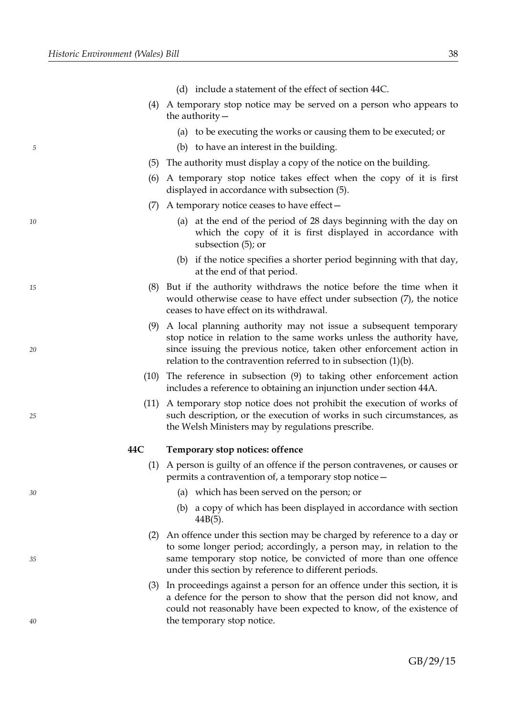*10*

*15*

*20*

*25*

*30*

*35*

|     | (d) include a statement of the effect of section 44C.                                                                                                                                                                                                                                 |
|-----|---------------------------------------------------------------------------------------------------------------------------------------------------------------------------------------------------------------------------------------------------------------------------------------|
|     | (4) A temporary stop notice may be served on a person who appears to<br>the authority $-$                                                                                                                                                                                             |
|     | (a) to be executing the works or causing them to be executed; or                                                                                                                                                                                                                      |
|     | (b) to have an interest in the building.                                                                                                                                                                                                                                              |
|     | (5) The authority must display a copy of the notice on the building.                                                                                                                                                                                                                  |
| (6) | A temporary stop notice takes effect when the copy of it is first<br>displayed in accordance with subsection (5).                                                                                                                                                                     |
| (7) | A temporary notice ceases to have effect -                                                                                                                                                                                                                                            |
|     | (a) at the end of the period of 28 days beginning with the day on<br>which the copy of it is first displayed in accordance with<br>subsection (5); or                                                                                                                                 |
|     | (b) if the notice specifies a shorter period beginning with that day,<br>at the end of that period.                                                                                                                                                                                   |
|     | (8) But if the authority withdraws the notice before the time when it<br>would otherwise cease to have effect under subsection (7), the notice<br>ceases to have effect on its withdrawal.                                                                                            |
| (9) | A local planning authority may not issue a subsequent temporary<br>stop notice in relation to the same works unless the authority have,<br>since issuing the previous notice, taken other enforcement action in<br>relation to the contravention referred to in subsection $(1)(b)$ . |
|     | $(10)$ The reference in subsection $(9)$ to taking other enforcement action<br>includes a reference to obtaining an injunction under section 44A.                                                                                                                                     |
|     | (11) A temporary stop notice does not prohibit the execution of works of<br>such description, or the execution of works in such circumstances, as<br>the Welsh Ministers may by regulations prescribe.                                                                                |
| 44C | Temporary stop notices: offence                                                                                                                                                                                                                                                       |
| (1) | A person is guilty of an offence if the person contravenes, or causes or<br>permits a contravention of, a temporary stop notice -                                                                                                                                                     |
|     | (a) which has been served on the person; or                                                                                                                                                                                                                                           |
|     | a copy of which has been displayed in accordance with section<br>(b)<br>$44B(5)$ .                                                                                                                                                                                                    |
| (2) | An offence under this section may be charged by reference to a day or<br>to some longer period; accordingly, a person may, in relation to the<br>same temporary stop notice, be convicted of more than one offence<br>under this section by reference to different periods.           |
| (3) | In proceedings against a person for an offence under this section, it is<br>a defence for the person to show that the person did not know, and<br>could not reasonably have been expected to know, of the existence of<br>the temporary stop notice.                                  |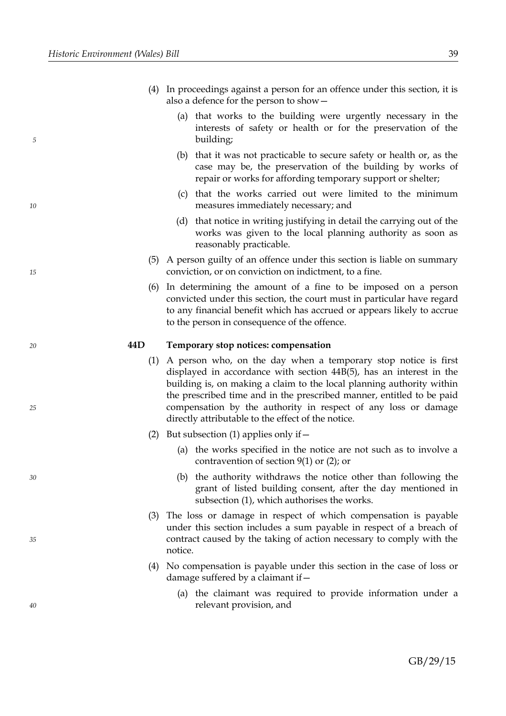- (4) In proceedings against a person for an offence under this section, it is also a defence for the person to show—
	- (a) that works to the building were urgently necessary in the interests of safety or health or for the preservation of the building;
	- (b) that it was not practicable to secure safety or health or, as the case may be, the preservation of the building by works of repair or works for affording temporary support or shelter;
	- (c) that the works carried out were limited to the minimum measures immediately necessary; and
	- (d) that notice in writing justifying in detail the carrying out of the works was given to the local planning authority as soon as reasonably practicable.
- (5) A person guilty of an offence under this section is liable on summary conviction, or on conviction on indictment, to a fine.
- (6) In determining the amount of a fine to be imposed on a person convicted under this section, the court must in particular have regard to any financial benefit which has accrued or appears likely to accrue to the person in consequence of the offence.

### **44D Temporary stop notices: compensation**

- (1) A person who, on the day when a temporary stop notice is first displayed in accordance with section 44B(5), has an interest in the building is, on making a claim to the local planning authority within the prescribed time and in the prescribed manner, entitled to be paid compensation by the authority in respect of any loss or damage directly attributable to the effect of the notice.
- (2) But subsection (1) applies only if  $-$ 
	- (a) the works specified in the notice are not such as to involve a contravention of section 9(1) or (2); or
	- (b) the authority withdraws the notice other than following the grant of listed building consent, after the day mentioned in subsection (1), which authorises the works.
- (3) The loss or damage in respect of which compensation is payable under this section includes a sum payable in respect of a breach of contract caused by the taking of action necessary to comply with the notice.
- (4) No compensation is payable under this section in the case of loss or damage suffered by a claimant if—
	- (a) the claimant was required to provide information under a relevant provision, and

*40*

*10*

*5*

*15*

*20*

*25*

*30*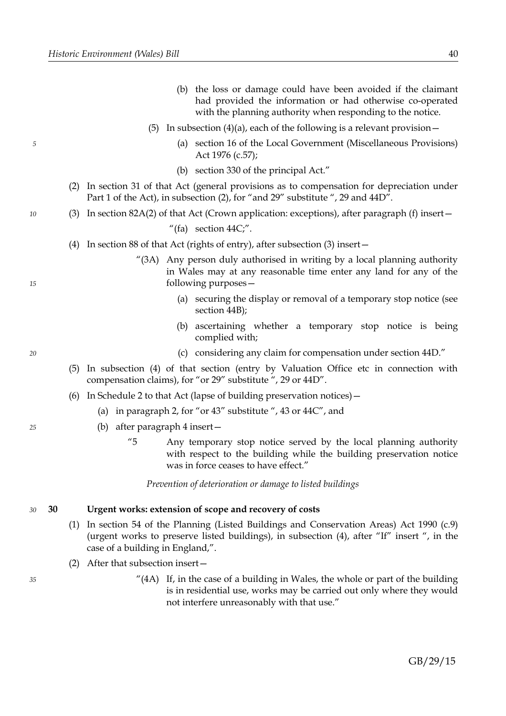- (b) the loss or damage could have been avoided if the claimant had provided the information or had otherwise co-operated with the planning authority when responding to the notice.
- (5) In subsection (4)(a), each of the following is a relevant provision  $-$ 
	- (a) section 16 of the Local Government (Miscellaneous Provisions) Act 1976 (c.57);
	- (b) section 330 of the principal Act."
- (2) In section 31 of that Act (general provisions as to compensation for depreciation under Part 1 of the Act), in subsection (2), for "and 29" substitute ", 29 and 44D".
- (3) In section 82A(2) of that Act (Crown application: exceptions), after paragraph (f) insert—

"(fa) section 44C;".

- (4) In section 88 of that Act (rights of entry), after subsection (3) insert—
	- "(3A) Any person duly authorised in writing by a local planning authority in Wales may at any reasonable time enter any land for any of the following purposes—
		- (a) securing the display or removal of a temporary stop notice (see section 44B);
		- (b) ascertaining whether a temporary stop notice is being complied with;
		- (c) considering any claim for compensation under section 44D."
- (5) In subsection (4) of that section (entry by Valuation Office etc in connection with compensation claims), for "or 29" substitute ", 29 or 44D".
- (6) In Schedule 2 to that Act (lapse of building preservation notices)—
	- (a) in paragraph 2, for "or 43" substitute ", 43 or 44C", and
	- (b) after paragraph 4 insert—
		- "5 Any temporary stop notice served by the local planning authority with respect to the building while the building preservation notice was in force ceases to have effect."

*Prevention of deterioration or damage to listed buildings*

#### <span id="page-43-0"></span>**30 Urgent works: extension of scope and recovery of costs** *30*

- (1) In section 54 of the Planning (Listed Buildings and Conservation Areas) Act 1990 (c.9) (urgent works to preserve listed buildings), in subsection (4), after "If" insert ", in the case of a building in England,".
- (2) After that subsection insert—
	- $^{\prime\prime}(4A)$  If, in the case of a building in Wales, the whole or part of the building is in residential use, works may be carried out only where they would not interfere unreasonably with that use."

*35*

*20*

*25*

*15*

*5*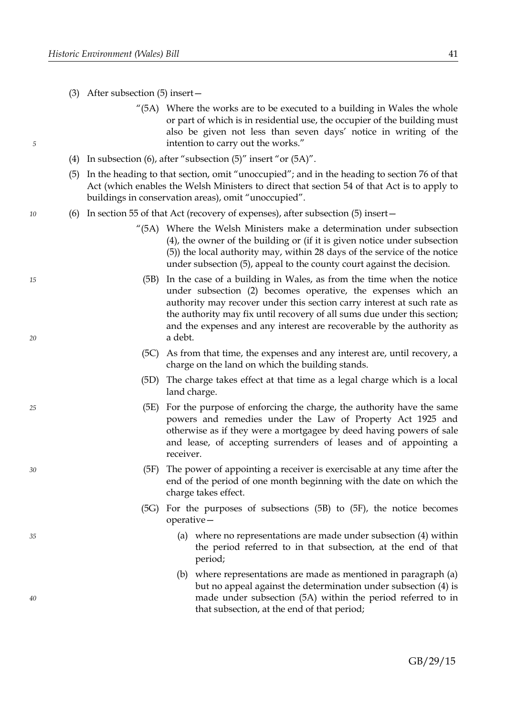*10*

*15*

*20*

*25*

*30*

*35*

- (3) After subsection (5) insert—
	- "(5A) Where the works are to be executed to a building in Wales the whole or part of which is in residential use, the occupier of the building must also be given not less than seven days' notice in writing of the intention to carry out the works."
- (4) In subsection (6), after "subsection (5)" insert "or (5A)".
- (5) In the heading to that section, omit "unoccupied"; and in the heading to section 76 of that Act (which enables the Welsh Ministers to direct that section 54 of that Act is to apply to buildings in conservation areas), omit "unoccupied".
- (6) In section 55 of that Act (recovery of expenses), after subsection (5) insert—
	- "(5A) Where the Welsh Ministers make a determination under subsection (4), the owner of the building or (if it is given notice under subsection (5)) the local authority may, within 28 days of the service of the notice under subsection (5), appeal to the county court against the decision.
		- (5B) In the case of a building in Wales, as from the time when the notice under subsection (2) becomes operative, the expenses which an authority may recover under this section carry interest at such rate as the authority may fix until recovery of all sums due under this section; and the expenses and any interest are recoverable by the authority as a debt.
		- (5C) As from that time, the expenses and any interest are, until recovery, a charge on the land on which the building stands.
	- (5D) The charge takes effect at that time as a legal charge which is a local land charge.
	- (5E) For the purpose of enforcing the charge, the authority have the same powers and remedies under the Law of Property Act 1925 and otherwise as if they were a mortgagee by deed having powers of sale and lease, of accepting surrenders of leases and of appointing a receiver.
	- (5F) The power of appointing a receiver is exercisable at any time after the end of the period of one month beginning with the date on which the charge takes effect.
	- (5G) For the purposes of subsections (5B) to (5F), the notice becomes operative—
		- (a) where no representations are made under subsection (4) within the period referred to in that subsection, at the end of that period;
		- (b) where representations are made as mentioned in paragraph (a) but no appeal against the determination under subsection (4) is made under subsection (5A) within the period referred to in that subsection, at the end of that period;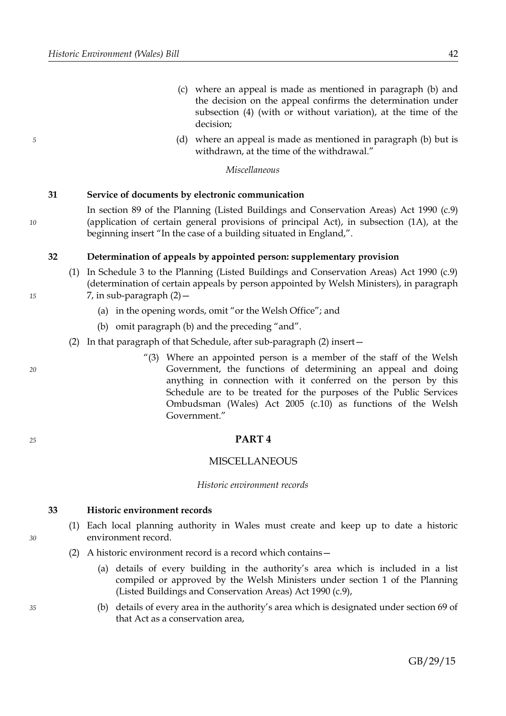- (c) where an appeal is made as mentioned in paragraph (b) and the decision on the appeal confirms the determination under subsection (4) (with or without variation), at the time of the decision;
- (d) where an appeal is made as mentioned in paragraph (b) but is withdrawn, at the time of the withdrawal."

#### *Miscellaneous*

### <span id="page-45-3"></span>**31 Service of documents by electronic communication**

*10*

*5*

In section 89 of the Planning (Listed Buildings and Conservation Areas) Act 1990 (c.9) (application of certain general provisions of principal Act), in subsection (1A), at the beginning insert "In the case of a building situated in England,".

# <span id="page-45-2"></span>**32 Determination of appeals by appointed person: supplementary provision**

- (1) In Schedule 3 to the Planning (Listed Buildings and Conservation Areas) Act 1990 (c.9) (determination of certain appeals by person appointed by Welsh Ministers), in paragraph 7, in sub-paragraph (2)—
	- (a) in the opening words, omit "or the Welsh Office"; and
	- (b) omit paragraph (b) and the preceding "and".
- (2) In that paragraph of that Schedule, after sub-paragraph (2) insert—
	- "(3) Where an appointed person is a member of the staff of the Welsh Government, the functions of determining an appeal and doing anything in connection with it conferred on the person by this Schedule are to be treated for the purposes of the Public Services Ombudsman (Wales) Act 2005 (c.10) as functions of the Welsh Government."

#### <span id="page-45-1"></span>**PART 4**

#### MISCELLANEOUS

#### *Historic environment records*

#### <span id="page-45-0"></span>**33 Historic environment records**

- (1) Each local planning authority in Wales must create and keep up to date a historic environment record.
- <span id="page-45-4"></span>(2) A historic environment record is a record which contains—
	- (a) details of every building in the authority's area which is included in a list compiled or approved by the Welsh Ministers under section 1 of the Planning (Listed Buildings and Conservation Areas) Act 1990 (c.9),
	- (b) details of every area in the authority's area which is designated under section 69 of that Act as a conservation area,

*35*

*30*

- *20*
- *25*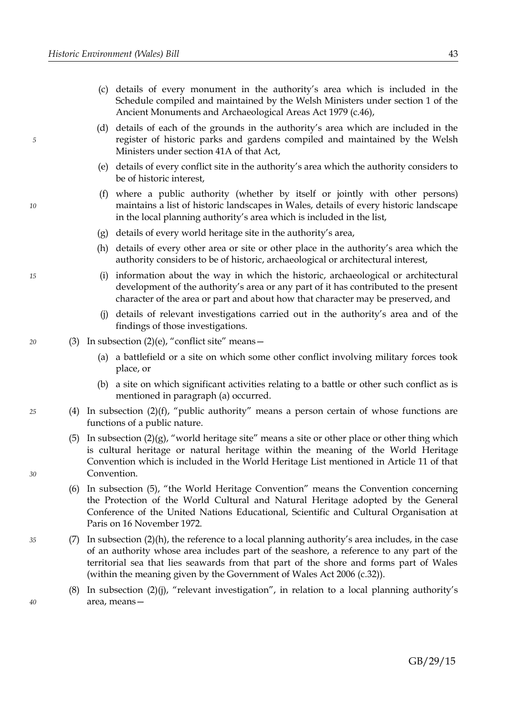- (c) details of every monument in the authority's area which is included in the Schedule compiled and maintained by the Welsh Ministers under section 1 of the Ancient Monuments and Archaeological Areas Act 1979 (c.46),
- (d) details of each of the grounds in the authority's area which are included in the register of historic parks and gardens compiled and maintained by the Welsh Ministers under section 41A of that Act,
- <span id="page-46-6"></span>(e) details of every conflict site in the authority's area which the authority considers to be of historic interest,
- <span id="page-46-4"></span>(f) where a public authority (whether by itself or jointly with other persons) maintains a list of historic landscapes in Wales, details of every historic landscape in the local planning authority's area which is included in the list,
- <span id="page-46-3"></span>(g) details of every world heritage site in the authority's area,
- <span id="page-46-1"></span>(h) details of every other area or site or other place in the authority's area which the authority considers to be of historic, archaeological or architectural interest,
- (i) information about the way in which the historic, archaeological or architectural development of the authority's area or any part of it has contributed to the present character of the area or part and about how that character may be preserved, and
- <span id="page-46-5"></span><span id="page-46-0"></span>(j) details of relevant investigations carried out in the authority's area and of the findings of those investigations.
- (3) In subsection  $(2)(e)$ , "conflict site" means -
	- (a) a battlefield or a site on which some other conflict involving military forces took place, or
	- (b) a site on which significant activities relating to a battle or other such conflict as is mentioned in paragraph [\(a\)](#page-46-5) occurred.
- <span id="page-46-2"></span>(4) In subsection  $(2)(f)$ , "public authority" means a person certain of whose functions are functions of a public nature.
	- (5) In subsection  $(2)(g)$ , "world heritage site" means a site or other place or other thing which is cultural heritage or natural heritage within the meaning of the World Heritage Convention which is included in the World Heritage List mentioned in Article 11 of that Convention.
	- (6) In subsection [\(5\),](#page-46-2) "the World Heritage Convention" means the Convention concerning the Protection of the World Cultural and Natural Heritage adopted by the General Conference of the United Nations Educational, Scientific and Cultural Organisation at Paris on 16 November 1972.
- (7) In subsection [\(2\)](#page-45-4)[\(h\),](#page-46-1) the reference to a local planning authority's area includes, in the case of an authority whose area includes part of the seashore, a reference to any part of the territorial sea that lies seawards from that part of the shore and forms part of Wales (within the meaning given by the Government of Wales Act 2006 (c.32)).
	- (8) In subsection [\(2\)](#page-45-4)[\(j\),](#page-46-0) "relevant investigation", in relation to a local planning authority's area, means—

*20*

*10*

*5*

*30*

*25*

*40*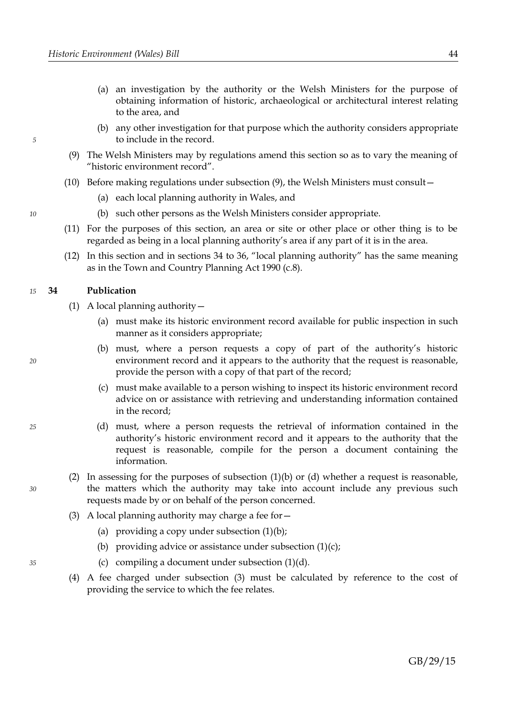- (a) an investigation by the authority or the Welsh Ministers for the purpose of obtaining information of historic, archaeological or architectural interest relating to the area, and
- (b) any other investigation for that purpose which the authority considers appropriate to include in the record.
- <span id="page-47-6"></span>(9) The Welsh Ministers may by regulations amend this section so as to vary the meaning of "historic environment record".
- (10) Before making regulations under subsection [\(9\),](#page-47-6) the Welsh Ministers must consult—
	- (a) each local planning authority in Wales, and
	- (b) such other persons as the Welsh Ministers consider appropriate.
- (11) For the purposes of this section, an area or site or other place or other thing is to be regarded as being in a local planning authority's area if any part of it is in the area.
- (12) In this section and in sections [34](#page-47-5) to [36,](#page-48-1) "local planning authority" has the same meaning as in the Town and Country Planning Act 1990 (c.8).

#### <span id="page-47-5"></span>**34 Publication** *15*

*5*

*10*

<span id="page-47-3"></span>*20*

*25*

*30*

- <span id="page-47-4"></span><span id="page-47-2"></span>(1) A local planning authority—
	- (a) must make its historic environment record available for public inspection in such manner as it considers appropriate;
	- (b) must, where a person requests a copy of part of the authority's historic environment record and it appears to the authority that the request is reasonable, provide the person with a copy of that part of the record;
	- (c) must make available to a person wishing to inspect its historic environment record advice on or assistance with retrieving and understanding information contained in the record;
	- (d) must, where a person requests the retrieval of information contained in the authority's historic environment record and it appears to the authority that the request is reasonable, compile for the person a document containing the information.
- <span id="page-47-1"></span>(2) In assessing for the purposes of subsection [\(1\)](#page-47-2)[\(b\)](#page-47-4) or [\(d\)](#page-47-1) whether a request is reasonable, the matters which the authority may take into account include any previous such requests made by or on behalf of the person concerned.
- <span id="page-47-0"></span>(3) A local planning authority may charge a fee for  $-$ 
	- (a) providing a copy under subsection  $(1)(b)$ ;
	- (b) providing advice or assistance under subsection  $(1)(c)$ ;
	- (c) compiling a document under subsection  $(1)(d)$ .
- (4) A fee charged under subsection [\(3\)](#page-47-0) must be calculated by reference to the cost of providing the service to which the fee relates.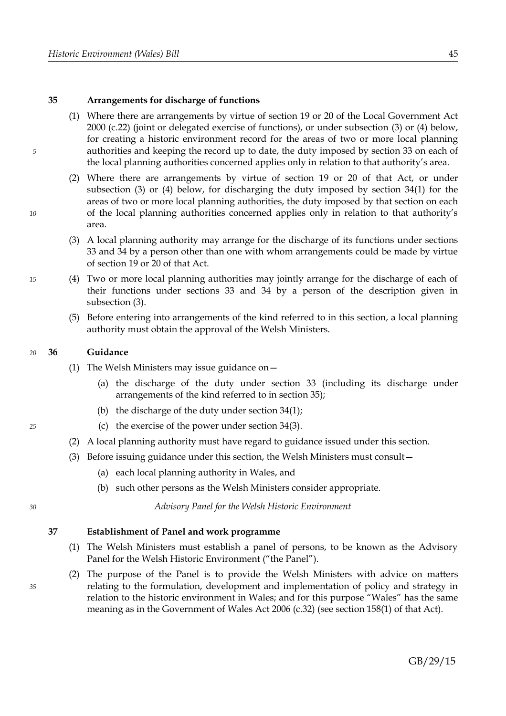# <span id="page-48-2"></span>**35 Arrangements for discharge of functions**

- (1) Where there are arrangements by virtue of section 19 or 20 of the Local Government Act 2000 (c.22) (joint or delegated exercise of functions), or under subsection [\(3\)](#page-48-3) or [\(4\)](#page-48-4) below, for creating a historic environment record for the areas of two or more local planning authorities and keeping the record up to date, the duty imposed by section [33](#page-45-0) on each of the local planning authorities concerned applies only in relation to that authority's area.
- (2) Where there are arrangements by virtue of section 19 or 20 of that Act, or under subsection [\(3\)](#page-48-3) or [\(4\)](#page-48-4) below, for discharging the duty imposed by section [34](#page-47-5)[\(1\)](#page-47-2) for the areas of two or more local planning authorities, the duty imposed by that section on each of the local planning authorities concerned applies only in relation to that authority's area.
- <span id="page-48-3"></span>(3) A local planning authority may arrange for the discharge of its functions under sections [33](#page-45-0) and [34](#page-47-5) by a person other than one with whom arrangements could be made by virtue of section 19 or 20 of that Act.
- <span id="page-48-4"></span>(4) Two or more local planning authorities may jointly arrange for the discharge of each of their functions under sections [33](#page-45-0) and [34](#page-47-5) by a person of the description given in subsection [\(3\).](#page-48-3)
	- (5) Before entering into arrangements of the kind referred to in this section, a local planning authority must obtain the approval of the Welsh Ministers.

#### <span id="page-48-1"></span>**36 Guidance** *20*

*5*

*10*

*15*

*25*

*30*

- (1) The Welsh Ministers may issue guidance on  $-$ 
	- (a) the discharge of the duty under section [33](#page-45-0) (including its discharge under arrangements of the kind referred to in section [35\)](#page-48-2);
	- (b) the discharge of the duty under section [34](#page-47-5)[\(1\);](#page-47-2)
	- (c) the exercise of the power under section [34](#page-47-5)[\(3\).](#page-47-0)
- (2) A local planning authority must have regard to guidance issued under this section.

*Advisory Panel for the Welsh Historic Environment*

- (3) Before issuing guidance under this section, the Welsh Ministers must consult—
	- (a) each local planning authority in Wales, and
	- (b) such other persons as the Welsh Ministers consider appropriate.

# <span id="page-48-0"></span>**37 Establishment of Panel and work programme**

- (1) The Welsh Ministers must establish a panel of persons, to be known as the Advisory Panel for the Welsh Historic Environment ("the Panel").
- (2) The purpose of the Panel is to provide the Welsh Ministers with advice on matters relating to the formulation, development and implementation of policy and strategy in relation to the historic environment in Wales; and for this purpose "Wales" has the same meaning as in the Government of Wales Act 2006 (c.32) (see section 158(1) of that Act).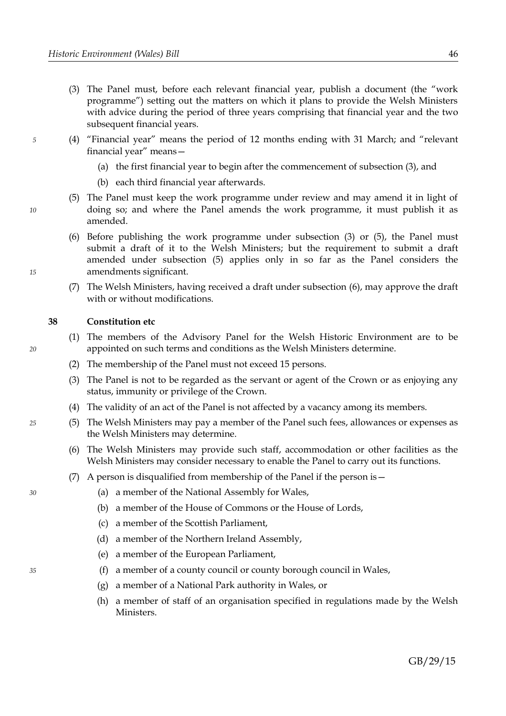- <span id="page-49-3"></span>(3) The Panel must, before each relevant financial year, publish a document (the "work programme") setting out the matters on which it plans to provide the Welsh Ministers with advice during the period of three years comprising that financial year and the two subsequent financial years.
- (4) "Financial year" means the period of 12 months ending with 31 March; and "relevant financial year" means—
	- (a) the first financial year to begin after the commencement of subsection [\(3\),](#page-49-3) and
	- (b) each third financial year afterwards.
	- (5) The Panel must keep the work programme under review and may amend it in light of doing so; and where the Panel amends the work programme, it must publish it as amended.
	- (6) Before publishing the work programme under subsection [\(3\)](#page-49-3) or [\(5\),](#page-49-2) the Panel must submit a draft of it to the Welsh Ministers; but the requirement to submit a draft amended under subsection [\(5\)](#page-49-2) applies only in so far as the Panel considers the amendments significant.
	- (7) The Welsh Ministers, having received a draft under subsection [\(6\),](#page-49-1) may approve the draft with or without modifications.

# <span id="page-49-0"></span>**38 Constitution etc**

- (1) The members of the Advisory Panel for the Welsh Historic Environment are to be appointed on such terms and conditions as the Welsh Ministers determine.
- (2) The membership of the Panel must not exceed 15 persons.
- (3) The Panel is not to be regarded as the servant or agent of the Crown or as enjoying any status, immunity or privilege of the Crown.
- (4) The validity of an act of the Panel is not affected by a vacancy among its members.
- (5) The Welsh Ministers may pay a member of the Panel such fees, allowances or expenses as the Welsh Ministers may determine.
	- (6) The Welsh Ministers may provide such staff, accommodation or other facilities as the Welsh Ministers may consider necessary to enable the Panel to carry out its functions.
	- (7) A person is disqualified from membership of the Panel if the person is—
		- (a) a member of the National Assembly for Wales,
		- (b) a member of the House of Commons or the House of Lords,
		- (c) a member of the Scottish Parliament,
		- (d) a member of the Northern Ireland Assembly,
		- (e) a member of the European Parliament,
		- (f) a member of a county council or county borough council in Wales,
		- (g) a member of a National Park authority in Wales, or
		- (h) a member of staff of an organisation specified in regulations made by the Welsh Ministers.

<span id="page-49-5"></span>*30*

*5*

<span id="page-49-2"></span><span id="page-49-1"></span>*10*

*15*

*20*

*25*

<span id="page-49-4"></span>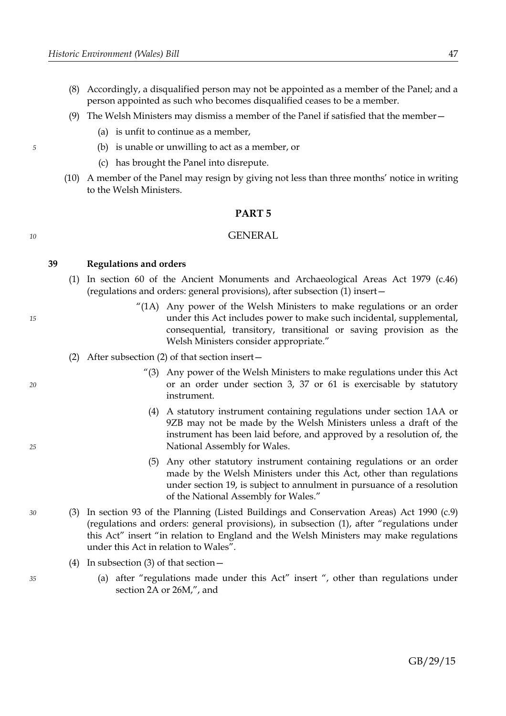- (8) Accordingly, a disqualified person may not be appointed as a member of the Panel; and a person appointed as such who becomes disqualified ceases to be a member.
- (9) The Welsh Ministers may dismiss a member of the Panel if satisfied that the member—
	- (a) is unfit to continue as a member,
	- (b) is unable or unwilling to act as a member, or
	- (c) has brought the Panel into disrepute.
- (10) A member of the Panel may resign by giving not less than three months' notice in writing to the Welsh Ministers.

### <span id="page-50-0"></span>**PART 5**

#### GENERAL

**39 Regulations and orders**

*5*

*10*

*15*

*20*

*25*

*30*

*35*

- (1) In section 60 of the Ancient Monuments and Archaeological Areas Act 1979 (c.46) (regulations and orders: general provisions), after subsection (1) insert—
	- "(1A) Any power of the Welsh Ministers to make regulations or an order under this Act includes power to make such incidental, supplemental, consequential, transitory, transitional or saving provision as the Welsh Ministers consider appropriate."
- (2) After subsection (2) of that section insert—
	- "(3) Any power of the Welsh Ministers to make regulations under this Act or an order under section 3, 37 or 61 is exercisable by statutory instrument.
	- (4) A statutory instrument containing regulations under section 1AA or 9ZB may not be made by the Welsh Ministers unless a draft of the instrument has been laid before, and approved by a resolution of, the National Assembly for Wales.
	- (5) Any other statutory instrument containing regulations or an order made by the Welsh Ministers under this Act, other than regulations under section 19, is subject to annulment in pursuance of a resolution of the National Assembly for Wales."
- (3) In section 93 of the Planning (Listed Buildings and Conservation Areas) Act 1990 (c.9) (regulations and orders: general provisions), in subsection (1), after "regulations under this Act" insert "in relation to England and the Welsh Ministers may make regulations under this Act in relation to Wales".
	- (4) In subsection (3) of that section—
		- (a) after "regulations made under this Act" insert ", other than regulations under section 2A or 26M,", and

GB/29/15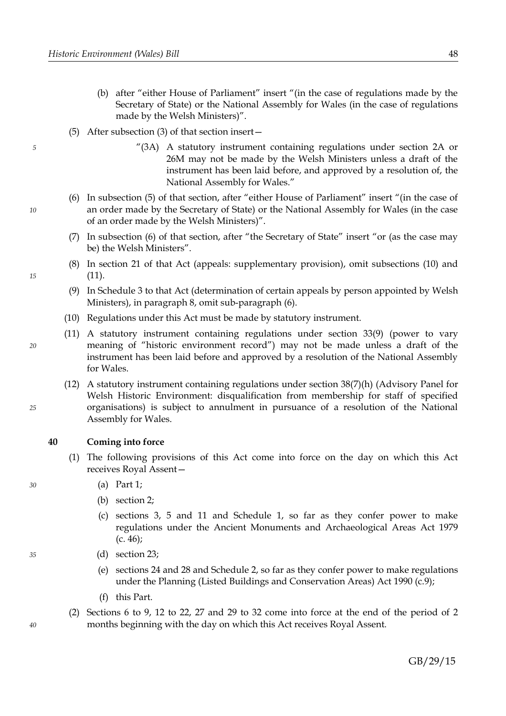- (b) after "either House of Parliament" insert "(in the case of regulations made by the Secretary of State) or the National Assembly for Wales (in the case of regulations made by the Welsh Ministers)".
- (5) After subsection (3) of that section insert—
	- "(3A) A statutory instrument containing regulations under section 2A or 26M may not be made by the Welsh Ministers unless a draft of the instrument has been laid before, and approved by a resolution of, the National Assembly for Wales."
- (6) In subsection (5) of that section, after "either House of Parliament" insert "(in the case of an order made by the Secretary of State) or the National Assembly for Wales (in the case of an order made by the Welsh Ministers)".
- (7) In subsection (6) of that section, after "the Secretary of State" insert "or (as the case may be) the Welsh Ministers".
- (8) In section 21 of that Act (appeals: supplementary provision), omit subsections (10) and (11).
- (9) In Schedule 3 to that Act (determination of certain appeals by person appointed by Welsh Ministers), in paragraph 8, omit sub-paragraph (6).
- (10) Regulations under this Act must be made by statutory instrument.
- (11) A statutory instrument containing regulations under section [33](#page-45-0)[\(9\)](#page-47-6) (power to vary meaning of "historic environment record") may not be made unless a draft of the instrument has been laid before and approved by a resolution of the National Assembly for Wales.
- (12) A statutory instrument containing regulations under section [38](#page-49-0)[\(7\)](#page-49-5)[\(h\)](#page-49-4) (Advisory Panel for Welsh Historic Environment: disqualification from membership for staff of specified organisations) is subject to annulment in pursuance of a resolution of the National Assembly for Wales.

# **40 Coming into force**

- (1) The following provisions of this Act come into force on the day on which this Act receives Royal Assent—
	- (a) Part [1;](#page-4-0)
	- (b) section [2;](#page-5-1)
	- (c) sections [3,](#page-6-0) [5](#page-11-0) and [11](#page-13-0) and Schedule [1,](#page-53-0) so far as they confer power to make regulations under the Ancient Monuments and Archaeological Areas Act 1979 (c. 46);
	- (d) section [23;](#page-28-3)
		- (e) sections [24](#page-29-0) and [28](#page-37-0) and Schedule [2,](#page-57-0) so far as they confer power to make regulations under the Planning (Listed Buildings and Conservation Areas) Act 1990 (c.9);
		- (f) this Part.
- (2) Sections [6](#page-11-1) to [9,](#page-12-1) [12](#page-16-0) to [22,](#page-27-0) [27](#page-36-0) and [29](#page-40-0) to [32](#page-45-2) come into force at the end of the period of 2 months beginning with the day on which this Act receives Royal Assent.

*35*

*25*

*10*

*5*

*15*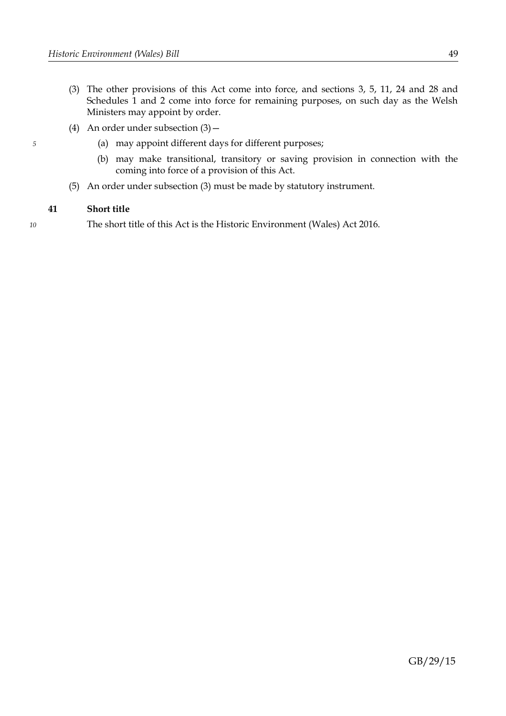- <span id="page-52-0"></span>(3) The other provisions of this Act come into force, and sections [3,](#page-6-0) [5,](#page-11-0) [11,](#page-13-0) [24](#page-29-0) and [28](#page-37-0) and Schedules [1](#page-53-0) and [2](#page-57-0) come into force for remaining purposes, on such day as the Welsh Ministers may appoint by order.
- (4) An order under subsection  $(3)$ 
	- (a) may appoint different days for different purposes;
	- (b) may make transitional, transitory or saving provision in connection with the coming into force of a provision of this Act.
- (5) An order under subsection [\(3\)](#page-52-0) must be made by statutory instrument.

# **41 Short title**

The short title of this Act is the Historic Environment (Wales) Act 2016.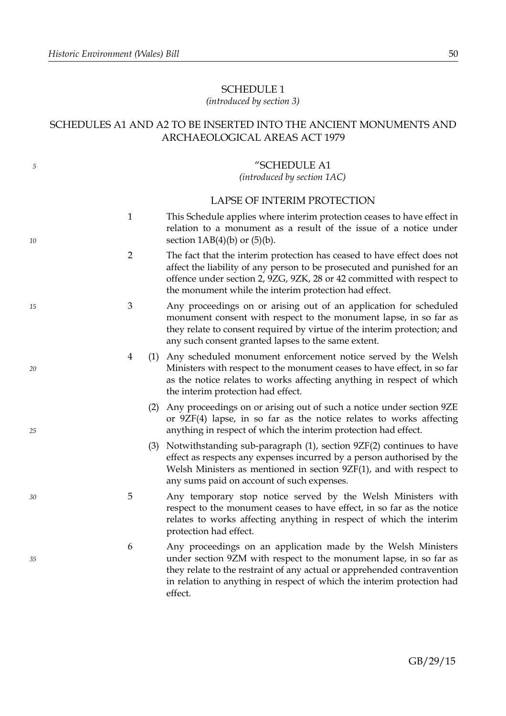*10*

*15*

*20*

*25*

*30*

*35*

# <span id="page-53-0"></span>SCHEDULE 1

# *(introduced by section [3\)](#page-6-0)*

# SCHEDULES A1 AND A2 TO BE INSERTED INTO THE ANCIENT MONUMENTS AND ARCHAEOLOGICAL AREAS ACT 1979

# "SCHEDULE A1

# *(introduced by section 1AC)*

# LAPSE OF INTERIM PROTECTION

- 1 This Schedule applies where interim protection ceases to have effect in relation to a monument as a result of the issue of a notice under section  $1AB(4)(b)$  or  $(5)(b)$ .
- 2 The fact that the interim protection has ceased to have effect does not affect the liability of any person to be prosecuted and punished for an offence under section 2, 9ZG, 9ZK, 28 or 42 committed with respect to the monument while the interim protection had effect.
- 3 Any proceedings on or arising out of an application for scheduled monument consent with respect to the monument lapse, in so far as they relate to consent required by virtue of the interim protection; and any such consent granted lapses to the same extent.
- 4 (1) Any scheduled monument enforcement notice served by the Welsh Ministers with respect to the monument ceases to have effect, in so far as the notice relates to works affecting anything in respect of which the interim protection had effect.
	- (2) Any proceedings on or arising out of such a notice under section 9ZE or 9ZF(4) lapse, in so far as the notice relates to works affecting anything in respect of which the interim protection had effect.
	- (3) Notwithstanding sub-paragraph (1), section 9ZF(2) continues to have effect as respects any expenses incurred by a person authorised by the Welsh Ministers as mentioned in section 9ZF(1), and with respect to any sums paid on account of such expenses.
- 5 Any temporary stop notice served by the Welsh Ministers with respect to the monument ceases to have effect, in so far as the notice relates to works affecting anything in respect of which the interim protection had effect.
- 6 Any proceedings on an application made by the Welsh Ministers under section 9ZM with respect to the monument lapse, in so far as they relate to the restraint of any actual or apprehended contravention in relation to anything in respect of which the interim protection had effect.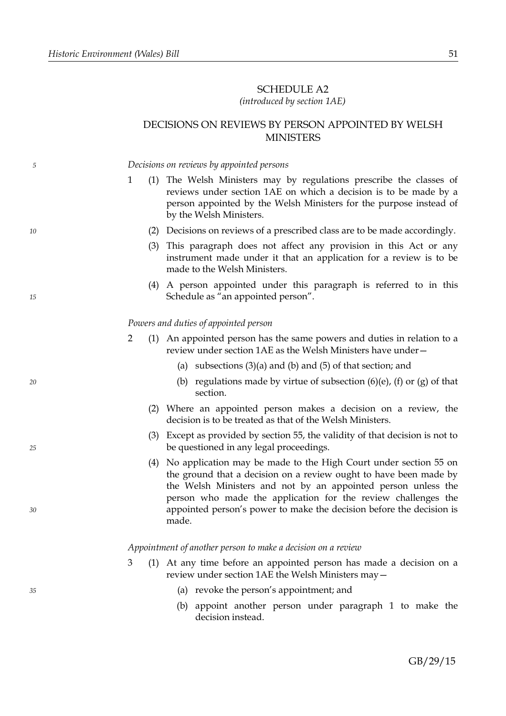# SCHEDULE A2

# *(introduced by section 1AE)*

# DECISIONS ON REVIEWS BY PERSON APPOINTED BY WELSH MINISTERS

*Decisions on reviews by appointed persons* 1 (1) The Welsh Ministers may by regulations prescribe the classes of reviews under section 1AE on which a decision is to be made by a person appointed by the Welsh Ministers for the purpose instead of by the Welsh Ministers. (2) Decisions on reviews of a prescribed class are to be made accordingly. (3) This paragraph does not affect any provision in this Act or any instrument made under it that an application for a review is to be made to the Welsh Ministers. (4) A person appointed under this paragraph is referred to in this Schedule as "an appointed person". *Powers and duties of appointed person* 2 (1) An appointed person has the same powers and duties in relation to a review under section 1AE as the Welsh Ministers have under— (a) subsections  $(3)(a)$  and  $(b)$  and  $(5)$  of that section; and (b) regulations made by virtue of subsection  $(6)(e)$ ,  $(f)$  or  $(g)$  of that section. (2) Where an appointed person makes a decision on a review, the decision is to be treated as that of the Welsh Ministers. (3) Except as provided by section 55, the validity of that decision is not to be questioned in any legal proceedings. (4) No application may be made to the High Court under section 55 on the ground that a decision on a review ought to have been made by the Welsh Ministers and not by an appointed person unless the person who made the application for the review challenges the appointed person's power to make the decision before the decision is made. *Appointment of another person to make a decision on a review* 3 (1) At any time before an appointed person has made a decision on a review under section 1AE the Welsh Ministers may— (a) revoke the person's appointment; and *5 10 15 20 25 30 35*

> (b) appoint another person under paragraph 1 to make the decision instead.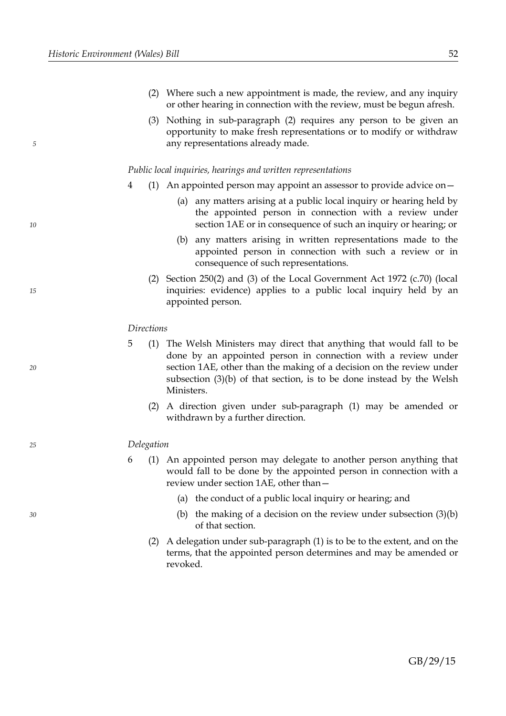*10*

*15*

*20*

*25*

*30*

- (2) Where such a new appointment is made, the review, and any inquiry or other hearing in connection with the review, must be begun afresh.
- (3) Nothing in sub-paragraph (2) requires any person to be given an opportunity to make fresh representations or to modify or withdraw any representations already made.

#### *Public local inquiries, hearings and written representations*

- 4 (1) An appointed person may appoint an assessor to provide advice on—
	- (a) any matters arising at a public local inquiry or hearing held by the appointed person in connection with a review under section 1AE or in consequence of such an inquiry or hearing; or
	- (b) any matters arising in written representations made to the appointed person in connection with such a review or in consequence of such representations.
	- (2) Section  $250(2)$  and (3) of the Local Government Act 1972 (c.70) (local inquiries: evidence) applies to a public local inquiry held by an appointed person.

#### *Directions*

- 5 (1) The Welsh Ministers may direct that anything that would fall to be done by an appointed person in connection with a review under section 1AE, other than the making of a decision on the review under subsection (3)(b) of that section, is to be done instead by the Welsh Ministers.
	- (2) A direction given under sub-paragraph (1) may be amended or withdrawn by a further direction.

#### *Delegation*

- 6 (1) An appointed person may delegate to another person anything that would fall to be done by the appointed person in connection with a review under section 1AE, other than—
	- (a) the conduct of a public local inquiry or hearing; and
	- (b) the making of a decision on the review under subsection  $(3)(b)$ of that section.
	- (2) A delegation under sub-paragraph (1) is to be to the extent, and on the terms, that the appointed person determines and may be amended or revoked.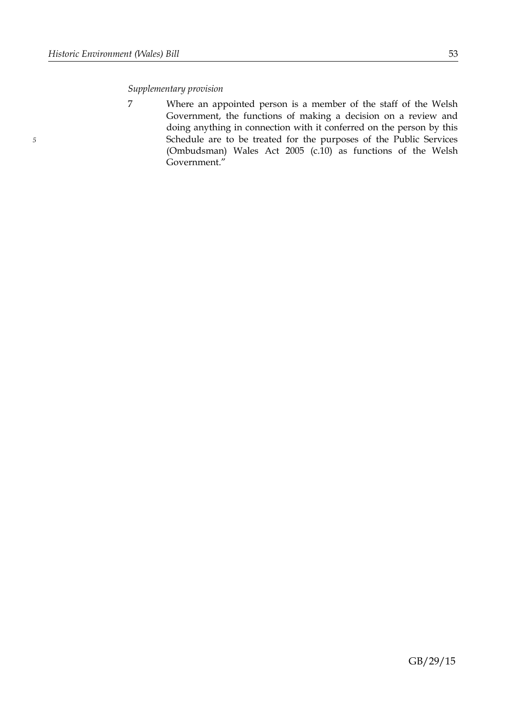# *Supplementary provision*

*5*

7 Where an appointed person is a member of the staff of the Welsh Government, the functions of making a decision on a review and doing anything in connection with it conferred on the person by this Schedule are to be treated for the purposes of the Public Services (Ombudsman) Wales Act 2005 (c.10) as functions of the Welsh Government."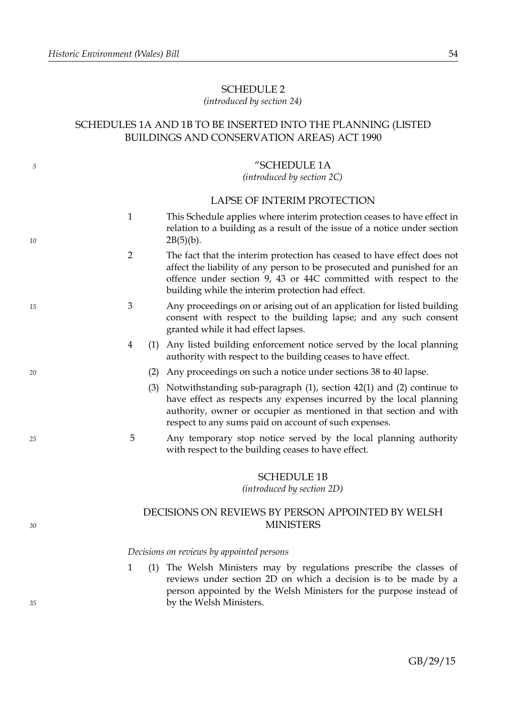*10*

*15*

*20*

*25*

*30*

*35*

# <span id="page-57-0"></span>SCHEDULE 2

# *(introduced by section [24\)](#page-29-0)*

# SCHEDULES 1A AND 1B TO BE INSERTED INTO THE PLANNING (LISTED BUILDINGS AND CONSERVATION AREAS) ACT 1990

# "SCHEDULE 1A

*(introduced by section 2C)*

# LAPSE OF INTERIM PROTECTION

- 1 This Schedule applies where interim protection ceases to have effect in relation to a building as a result of the issue of a notice under section  $2B(5)(b)$ .
- 2 The fact that the interim protection has ceased to have effect does not affect the liability of any person to be prosecuted and punished for an offence under section 9, 43 or 44C committed with respect to the building while the interim protection had effect.
- 3 Any proceedings on or arising out of an application for listed building consent with respect to the building lapse; and any such consent granted while it had effect lapses.
- 4 (1) Any listed building enforcement notice served by the local planning authority with respect to the building ceases to have effect.
	- (2) Any proceedings on such a notice under sections 38 to 40 lapse.
	- (3) Notwithstanding sub-paragraph (1), section 42(1) and (2) continue to have effect as respects any expenses incurred by the local planning authority, owner or occupier as mentioned in that section and with respect to any sums paid on account of such expenses.
- 5 Any temporary stop notice served by the local planning authority with respect to the building ceases to have effect.

#### SCHEDULE 1B

*(introduced by section 2D)*

# DECISIONS ON REVIEWS BY PERSON APPOINTED BY WELSH MINISTERS

#### *Decisions on reviews by appointed persons*

1 (1) The Welsh Ministers may by regulations prescribe the classes of reviews under section 2D on which a decision is to be made by a person appointed by the Welsh Ministers for the purpose instead of by the Welsh Ministers.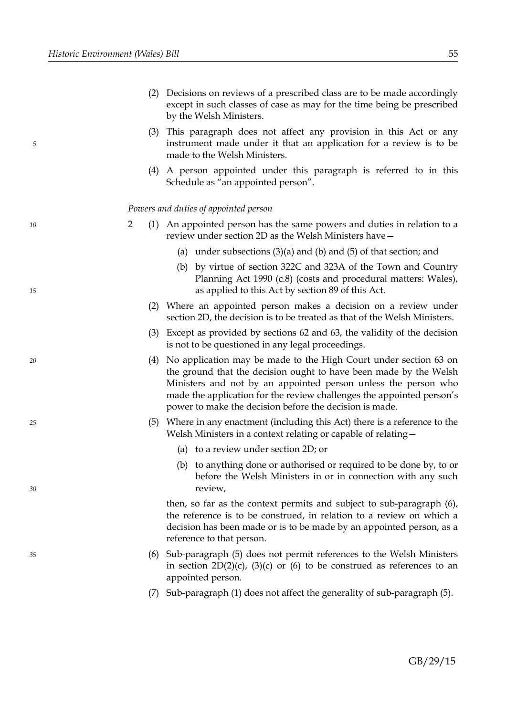*10*

*15*

*20*

*25*

*30*

*35*

- (2) Decisions on reviews of a prescribed class are to be made accordingly except in such classes of case as may for the time being be prescribed by the Welsh Ministers.
- (3) This paragraph does not affect any provision in this Act or any instrument made under it that an application for a review is to be made to the Welsh Ministers.
- (4) A person appointed under this paragraph is referred to in this Schedule as "an appointed person".

#### *Powers and duties of appointed person*

- 2 (1) An appointed person has the same powers and duties in relation to a review under section 2D as the Welsh Ministers have—
	- (a) under subsections  $(3)(a)$  and  $(b)$  and  $(5)$  of that section; and
	- (b) by virtue of section 322C and 323A of the Town and Country Planning Act 1990 (c.8) (costs and procedural matters: Wales), as applied to this Act by section 89 of this Act.
	- (2) Where an appointed person makes a decision on a review under section 2D, the decision is to be treated as that of the Welsh Ministers.
	- (3) Except as provided by sections 62 and 63, the validity of the decision is not to be questioned in any legal proceedings.
	- (4) No application may be made to the High Court under section 63 on the ground that the decision ought to have been made by the Welsh Ministers and not by an appointed person unless the person who made the application for the review challenges the appointed person's power to make the decision before the decision is made.
	- (5) Where in any enactment (including this Act) there is a reference to the Welsh Ministers in a context relating or capable of relating—
		- (a) to a review under section 2D; or
		- (b) to anything done or authorised or required to be done by, to or before the Welsh Ministers in or in connection with any such review,

then, so far as the context permits and subject to sub-paragraph (6), the reference is to be construed, in relation to a review on which a decision has been made or is to be made by an appointed person, as a reference to that person.

- (6) Sub-paragraph (5) does not permit references to the Welsh Ministers in section  $2D(2)(c)$ ,  $(3)(c)$  or  $(6)$  to be construed as references to an appointed person.
- (7) Sub-paragraph (1) does not affect the generality of sub-paragraph (5).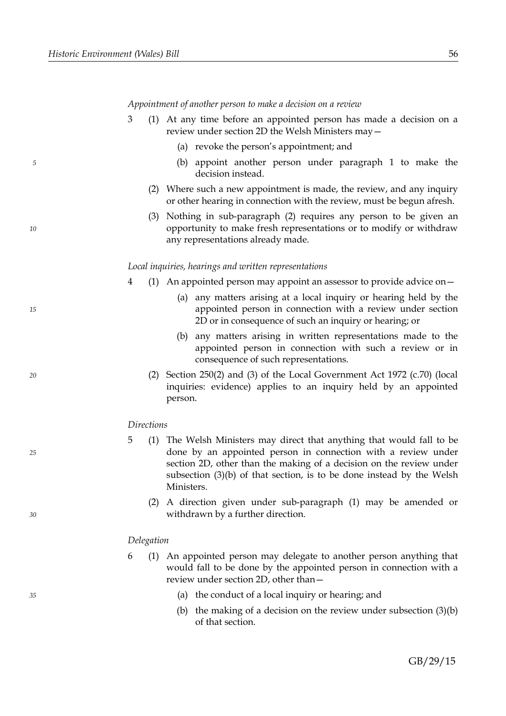*10*

*15*

*20*

*25*

*30*

*35*

*Appointment of another person to make a decision on a review*

- 3 (1) At any time before an appointed person has made a decision on a review under section 2D the Welsh Ministers may—
	- (a) revoke the person's appointment; and
	- (b) appoint another person under paragraph 1 to make the decision instead.
	- (2) Where such a new appointment is made, the review, and any inquiry or other hearing in connection with the review, must be begun afresh.
	- (3) Nothing in sub-paragraph (2) requires any person to be given an opportunity to make fresh representations or to modify or withdraw any representations already made.

#### *Local inquiries, hearings and written representations*

- 4 (1) An appointed person may appoint an assessor to provide advice on—
	- (a) any matters arising at a local inquiry or hearing held by the appointed person in connection with a review under section 2D or in consequence of such an inquiry or hearing; or
	- (b) any matters arising in written representations made to the appointed person in connection with such a review or in consequence of such representations.
	- (2) Section 250(2) and (3) of the Local Government Act 1972 (c.70) (local inquiries: evidence) applies to an inquiry held by an appointed person.

#### *Directions*

- 5 (1) The Welsh Ministers may direct that anything that would fall to be done by an appointed person in connection with a review under section 2D, other than the making of a decision on the review under subsection (3)(b) of that section, is to be done instead by the Welsh Ministers.
	- (2) A direction given under sub-paragraph (1) may be amended or withdrawn by a further direction.

#### *Delegation*

- 6 (1) An appointed person may delegate to another person anything that would fall to be done by the appointed person in connection with a review under section 2D, other than—
	- (a) the conduct of a local inquiry or hearing; and
	- (b) the making of a decision on the review under subsection (3)(b) of that section.